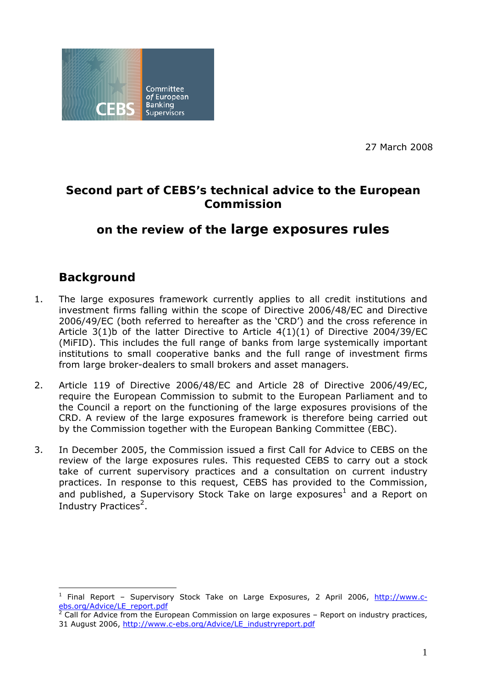

27 March 2008

# **Second part of CEBS's technical advice to the European Commission**

# **on the review of the large exposures rules**

# **Background**

- 1. The large exposures framework currently applies to all credit institutions and investment firms falling within the scope of Directive 2006/48/EC and Directive 2006/49/EC (both referred to hereafter as the 'CRD') and the cross reference in Article 3(1)b of the latter Directive to Article 4(1)(1) of Directive 2004/39/EC (MiFID). This includes the full range of banks from large systemically important institutions to small cooperative banks and the full range of investment firms from large broker-dealers to small brokers and asset managers.
- 2. Article 119 of Directive 2006/48/EC and Article 28 of Directive 2006/49/EC, require the European Commission to submit to the European Parliament and to the Council a report on the functioning of the large exposures provisions of the CRD. A review of the large exposures framework is therefore being carried out by the Commission together with the European Banking Committee (EBC).
- 3. In December 2005, the Commission issued a first Call for Advice to CEBS on the review of the large exposures rules. This requested CEBS to carry out a stock take of current supervisory practices and a consultation on current industry practices. In response to this request, CEBS has provided to the Commission, and published, a Supervisory Stock Take on large exposures<sup>1</sup> and a Report on Industry Practices<sup>2</sup>.

<sup>1</sup> Final Report – Supervisory Stock Take on Large Exposures, 2 April 2006, http://www.cebs.org/Advice/LE\_report.pdf

Call for Advice from the European Commission on large exposures – Report on industry practices, 31 August 2006, http://www.c-ebs.org/Advice/LE\_industryreport.pdf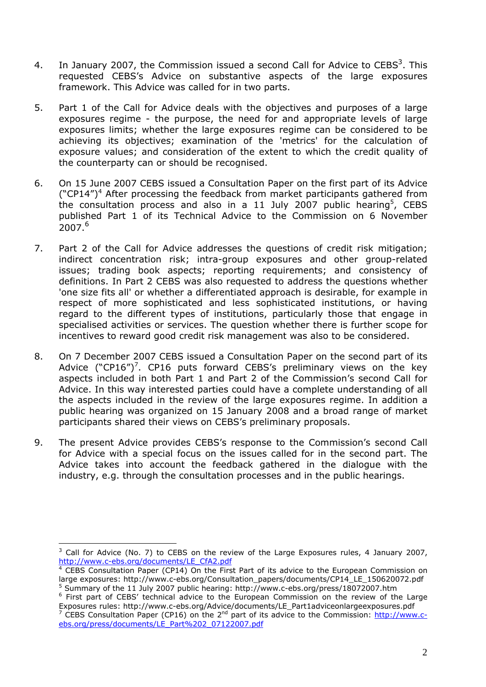- 4. In January 2007, the Commission issued a second Call for Advice to CEBS<sup>3</sup>. This requested CEBS's Advice on substantive aspects of the large exposures framework. This Advice was called for in two parts.
- 5. Part 1 of the Call for Advice deals with the objectives and purposes of a large exposures regime - the purpose, the need for and appropriate levels of large exposures limits; whether the large exposures regime can be considered to be achieving its objectives; examination of the 'metrics' for the calculation of exposure values; and consideration of the extent to which the credit quality of the counterparty can or should be recognised.
- 6. On 15 June 2007 CEBS issued a Consultation Paper on the first part of its Advice ("CP14")<sup>4</sup> After processing the feedback from market participants gathered from the consultation process and also in a 11 July 2007 public hearing<sup>5</sup>, CEBS published Part 1 of its Technical Advice to the Commission on 6 November  $2007.<sup>6</sup>$
- 7. Part 2 of the Call for Advice addresses the questions of credit risk mitigation; indirect concentration risk; intra-group exposures and other group-related issues; trading book aspects; reporting requirements; and consistency of definitions. In Part 2 CEBS was also requested to address the questions whether 'one size fits all' or whether a differentiated approach is desirable, for example in respect of more sophisticated and less sophisticated institutions, or having regard to the different types of institutions, particularly those that engage in specialised activities or services. The question whether there is further scope for incentives to reward good credit risk management was also to be considered.
- 8. On 7 December 2007 CEBS issued a Consultation Paper on the second part of its Advice ("CP16")<sup>7</sup>. CP16 puts forward CEBS's preliminary views on the key aspects included in both Part 1 and Part 2 of the Commission's second Call for Advice. In this way interested parties could have a complete understanding of all the aspects included in the review of the large exposures regime. In addition a public hearing was organized on 15 January 2008 and a broad range of market participants shared their views on CEBS's preliminary proposals.
- 9. The present Advice provides CEBS's response to the Commission's second Call for Advice with a special focus on the issues called for in the second part. The Advice takes into account the feedback gathered in the dialogue with the industry, e.g. through the consultation processes and in the public hearings.

 $\overline{a}$  $3$  Call for Advice (No. 7) to CEBS on the review of the Large Exposures rules, 4 January 2007, http://www.c-ebs.org/documents/LE\_CfA2.pdf 4

CEBS Consultation Paper (CP14) On the First Part of its advice to the European Commission on large exposures: http://www.c-ebs.org/Consultation\_papers/documents/CP14\_LE\_150620072.pdf  $5$  Summary of the 11 July 2007 public hearing: http://www.c-ebs.org/press/18072007.htm

<sup>&</sup>lt;sup>6</sup> First part of CEBS' technical advice to the European Commission on the review of the Large Exposures rules: http://www.c-ebs.org/Advice/documents/LE\_Part1adviceonlargeexposures.pdf<br><sup>7</sup> CEBS Consultation Paper (CP16) on the 2<sup>nd</sup> part of its advice to the Commission: <u>http://www.c-</u>

ebs.org/press/documents/LE\_Part%202\_07122007.pdf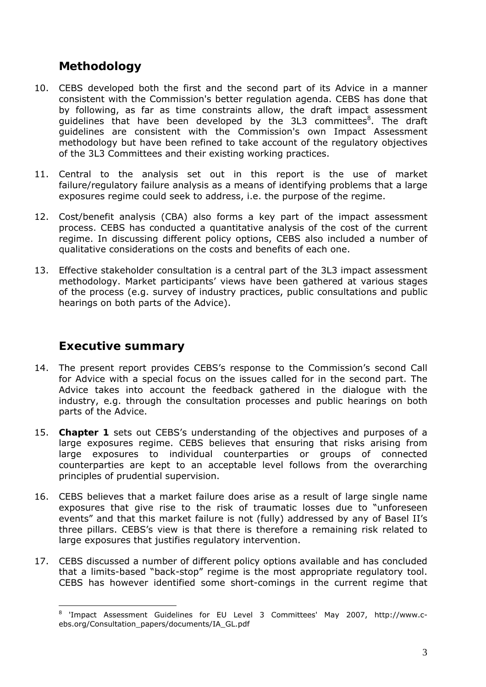# **Methodology**

- 10. CEBS developed both the first and the second part of its Advice in a manner consistent with the Commission's better regulation agenda. CEBS has done that by following, as far as time constraints allow, the draft impact assessment guidelines that have been developed by the 3L3 committees<sup>8</sup>. The draft guidelines are consistent with the Commission's own Impact Assessment methodology but have been refined to take account of the regulatory objectives of the 3L3 Committees and their existing working practices.
- 11. Central to the analysis set out in this report is the use of market failure/regulatory failure analysis as a means of identifying problems that a large exposures regime could seek to address, i.e. the purpose of the regime.
- 12. Cost/benefit analysis (CBA) also forms a key part of the impact assessment process. CEBS has conducted a quantitative analysis of the cost of the current regime. In discussing different policy options, CEBS also included a number of qualitative considerations on the costs and benefits of each one.
- 13. Effective stakeholder consultation is a central part of the 3L3 impact assessment methodology. Market participants' views have been gathered at various stages of the process (e.g. survey of industry practices, public consultations and public hearings on both parts of the Advice).

# **Executive summary**

- 14. The present report provides CEBS's response to the Commission's second Call for Advice with a special focus on the issues called for in the second part. The Advice takes into account the feedback gathered in the dialogue with the industry, e.g. through the consultation processes and public hearings on both parts of the Advice.
- 15. **Chapter 1** sets out CEBS's understanding of the objectives and purposes of a large exposures regime. CEBS believes that ensuring that risks arising from large exposures to individual counterparties or groups of connected counterparties are kept to an acceptable level follows from the overarching principles of prudential supervision.
- 16. CEBS believes that a market failure does arise as a result of large single name exposures that give rise to the risk of traumatic losses due to "unforeseen events" and that this market failure is not (fully) addressed by any of Basel II's three pillars. CEBS's view is that there is therefore a remaining risk related to large exposures that justifies regulatory intervention.
- 17. CEBS discussed a number of different policy options available and has concluded that a limits-based "back-stop" regime is the most appropriate regulatory tool. CEBS has however identified some short-comings in the current regime that

 8 'Impact Assessment Guidelines for EU Level 3 Committees' May 2007, http://www.cebs.org/Consultation\_papers/documents/IA\_GL.pdf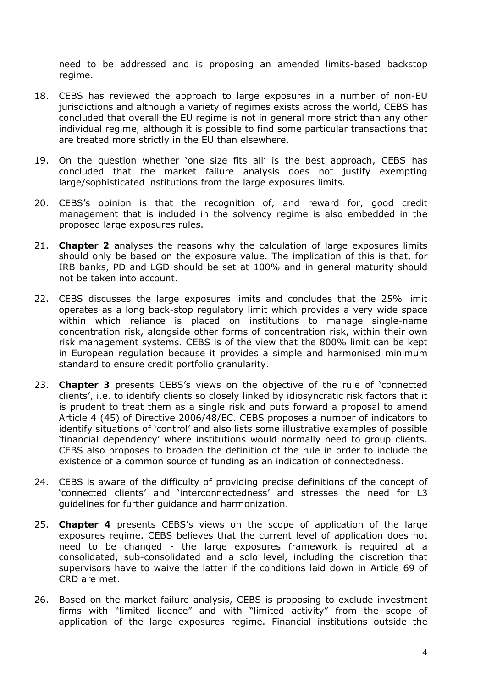need to be addressed and is proposing an amended limits-based backstop regime.

- 18. CEBS has reviewed the approach to large exposures in a number of non-EU jurisdictions and although a variety of regimes exists across the world, CEBS has concluded that overall the EU regime is not in general more strict than any other individual regime, although it is possible to find some particular transactions that are treated more strictly in the EU than elsewhere.
- 19. On the question whether 'one size fits all' is the best approach, CEBS has concluded that the market failure analysis does not justify exempting large/sophisticated institutions from the large exposures limits.
- 20. CEBS's opinion is that the recognition of, and reward for, good credit management that is included in the solvency regime is also embedded in the proposed large exposures rules.
- 21. **Chapter 2** analyses the reasons why the calculation of large exposures limits should only be based on the exposure value. The implication of this is that, for IRB banks, PD and LGD should be set at 100% and in general maturity should not be taken into account.
- 22. CEBS discusses the large exposures limits and concludes that the 25% limit operates as a long back-stop regulatory limit which provides a very wide space within which reliance is placed on institutions to manage single-name concentration risk, alongside other forms of concentration risk, within their own risk management systems. CEBS is of the view that the 800% limit can be kept in European regulation because it provides a simple and harmonised minimum standard to ensure credit portfolio granularity.
- 23. **Chapter 3** presents CEBS's views on the objective of the rule of 'connected clients', i.e. to identify clients so closely linked by idiosyncratic risk factors that it is prudent to treat them as a single risk and puts forward a proposal to amend Article 4 (45) of Directive 2006/48/EC. CEBS proposes a number of indicators to identify situations of 'control' and also lists some illustrative examples of possible 'financial dependency' where institutions would normally need to group clients. CEBS also proposes to broaden the definition of the rule in order to include the existence of a common source of funding as an indication of connectedness.
- 24. CEBS is aware of the difficulty of providing precise definitions of the concept of 'connected clients' and 'interconnectedness' and stresses the need for L3 guidelines for further guidance and harmonization.
- 25. **Chapter 4** presents CEBS's views on the scope of application of the large exposures regime. CEBS believes that the current level of application does not need to be changed - the large exposures framework is required at a consolidated, sub-consolidated and a solo level, including the discretion that supervisors have to waive the latter if the conditions laid down in Article 69 of CRD are met.
- 26. Based on the market failure analysis, CEBS is proposing to exclude investment firms with "limited licence" and with "limited activity" from the scope of application of the large exposures regime. Financial institutions outside the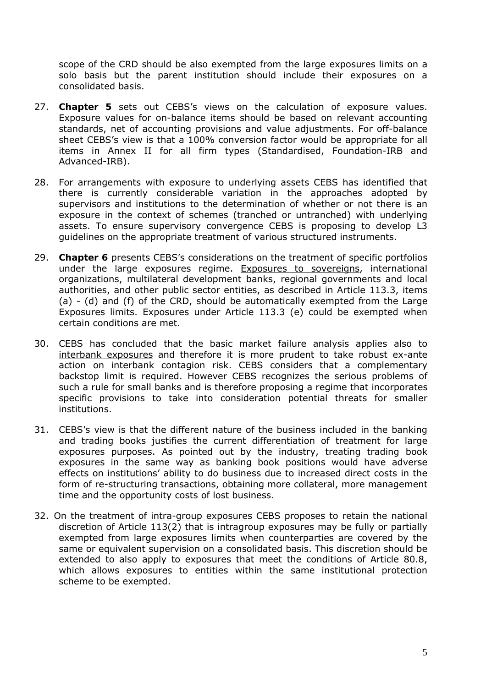scope of the CRD should be also exempted from the large exposures limits on a solo basis but the parent institution should include their exposures on a consolidated basis.

- 27. **Chapter 5** sets out CEBS's views on the calculation of exposure values. Exposure values for on-balance items should be based on relevant accounting standards, net of accounting provisions and value adjustments. For off-balance sheet CEBS's view is that a 100% conversion factor would be appropriate for all items in Annex II for all firm types (Standardised, Foundation-IRB and Advanced-IRB).
- 28. For arrangements with exposure to underlying assets CEBS has identified that there is currently considerable variation in the approaches adopted by supervisors and institutions to the determination of whether or not there is an exposure in the context of schemes (tranched or untranched) with underlying assets. To ensure supervisory convergence CEBS is proposing to develop L3 guidelines on the appropriate treatment of various structured instruments.
- 29. **Chapter 6** presents CEBS's considerations on the treatment of specific portfolios under the large exposures regime. Exposures to sovereigns, international organizations, multilateral development banks, regional governments and local authorities, and other public sector entities, as described in Article 113.3, items (a) - (d) and (f) of the CRD, should be automatically exempted from the Large Exposures limits. Exposures under Article 113.3 (e) could be exempted when certain conditions are met.
- 30. CEBS has concluded that the basic market failure analysis applies also to interbank exposures and therefore it is more prudent to take robust ex-ante action on interbank contagion risk. CEBS considers that a complementary backstop limit is required. However CEBS recognizes the serious problems of such a rule for small banks and is therefore proposing a regime that incorporates specific provisions to take into consideration potential threats for smaller institutions.
- 31. CEBS's view is that the different nature of the business included in the banking and trading books justifies the current differentiation of treatment for large exposures purposes. As pointed out by the industry, treating trading book exposures in the same way as banking book positions would have adverse effects on institutions' ability to do business due to increased direct costs in the form of re-structuring transactions, obtaining more collateral, more management time and the opportunity costs of lost business.
- 32. On the treatment of intra-group exposures CEBS proposes to retain the national discretion of Article 113(2) that is intragroup exposures may be fully or partially exempted from large exposures limits when counterparties are covered by the same or equivalent supervision on a consolidated basis. This discretion should be extended to also apply to exposures that meet the conditions of Article 80.8, which allows exposures to entities within the same institutional protection scheme to be exempted.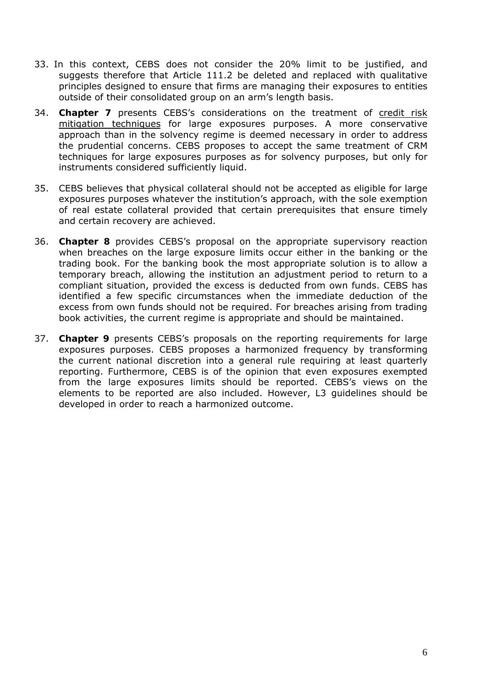- 33. In this context, CEBS does not consider the 20% limit to be justified, and suggests therefore that Article 111.2 be deleted and replaced with qualitative principles designed to ensure that firms are managing their exposures to entities outside of their consolidated group on an arm's length basis.
- 34. **Chapter 7** presents CEBS's considerations on the treatment of credit risk mitigation techniques for large exposures purposes. A more conservative approach than in the solvency regime is deemed necessary in order to address the prudential concerns. CEBS proposes to accept the same treatment of CRM techniques for large exposures purposes as for solvency purposes, but only for instruments considered sufficiently liquid.
- 35. CEBS believes that physical collateral should not be accepted as eligible for large exposures purposes whatever the institution's approach, with the sole exemption of real estate collateral provided that certain prerequisites that ensure timely and certain recovery are achieved.
- 36. **Chapter 8** provides CEBS's proposal on the appropriate supervisory reaction when breaches on the large exposure limits occur either in the banking or the trading book. For the banking book the most appropriate solution is to allow a temporary breach, allowing the institution an adjustment period to return to a compliant situation, provided the excess is deducted from own funds. CEBS has identified a few specific circumstances when the immediate deduction of the excess from own funds should not be required. For breaches arising from trading book activities, the current regime is appropriate and should be maintained.
- 37. **Chapter 9** presents CEBS's proposals on the reporting requirements for large exposures purposes. CEBS proposes a harmonized frequency by transforming the current national discretion into a general rule requiring at least quarterly reporting. Furthermore, CEBS is of the opinion that even exposures exempted from the large exposures limits should be reported. CEBS's views on the elements to be reported are also included. However, L3 guidelines should be developed in order to reach a harmonized outcome.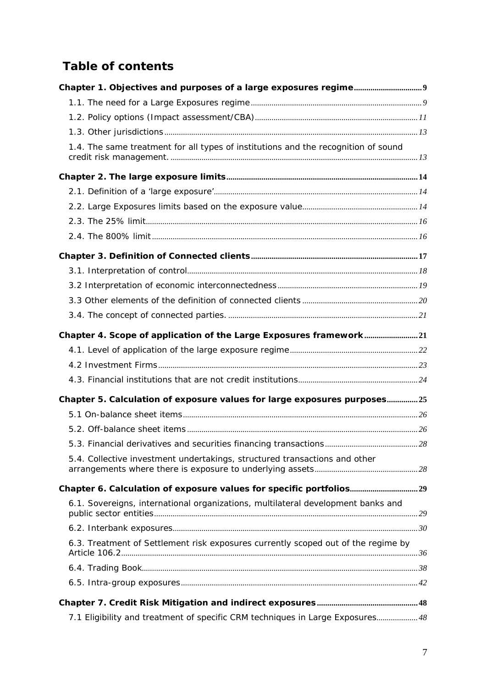# **Table of contents**

| 1.4. The same treatment for all types of institutions and the recognition of sound |  |
|------------------------------------------------------------------------------------|--|
|                                                                                    |  |
|                                                                                    |  |
|                                                                                    |  |
|                                                                                    |  |
|                                                                                    |  |
|                                                                                    |  |
|                                                                                    |  |
|                                                                                    |  |
|                                                                                    |  |
|                                                                                    |  |
| Chapter 4. Scope of application of the Large Exposures framework21                 |  |
|                                                                                    |  |
|                                                                                    |  |
|                                                                                    |  |
| Chapter 5. Calculation of exposure values for large exposures purposes25           |  |
|                                                                                    |  |
|                                                                                    |  |
|                                                                                    |  |
| 5.4. Collective investment undertakings, structured transactions and other         |  |
|                                                                                    |  |
| 6.1. Sovereigns, international organizations, multilateral development banks and   |  |
|                                                                                    |  |
| 6.3. Treatment of Settlement risk exposures currently scoped out of the regime by  |  |
|                                                                                    |  |
|                                                                                    |  |
|                                                                                    |  |
| 7.1 Eligibility and treatment of specific CRM techniques in Large Exposures 48     |  |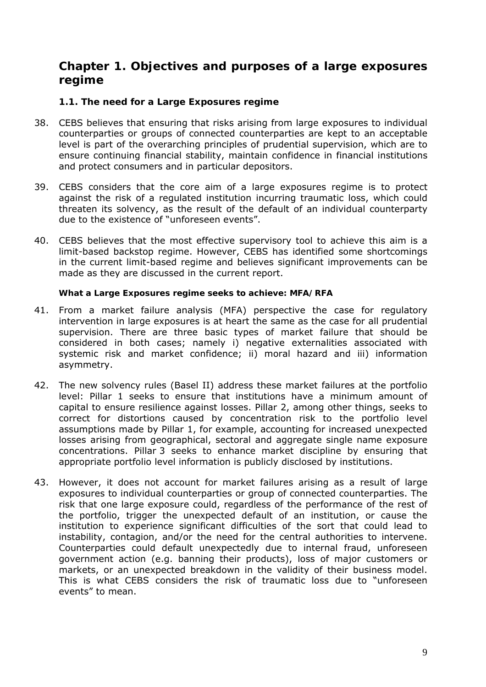# **Chapter 1. Objectives and purposes of a large exposures regime**

# **1.1. The need for a Large Exposures regime**

- 38. CEBS believes that ensuring that risks arising from large exposures to individual counterparties or groups of connected counterparties are kept to an acceptable level is part of the overarching principles of prudential supervision, which are to ensure continuing financial stability, maintain confidence in financial institutions and protect consumers and in particular depositors.
- 39. CEBS considers that the core aim of a large exposures regime is to protect against the risk of a regulated institution incurring traumatic loss, which could threaten its solvency, as the result of the default of an individual counterparty due to the existence of "unforeseen events".
- 40. CEBS believes that the most effective supervisory tool to achieve this aim is a limit-based backstop regime. However, CEBS has identified some shortcomings in the current limit-based regime and believes significant improvements can be made as they are discussed in the current report.

#### *What a Large Exposures regime seeks to achieve: MFA/RFA*

- 41. From a market failure analysis (MFA) perspective the case for regulatory intervention in large exposures is at heart the same as the case for all prudential supervision. There are three basic types of market failure that should be considered in both cases; namely i) negative externalities associated with systemic risk and market confidence; ii) moral hazard and iii) information asymmetry.
- 42. The new solvency rules (Basel II) address these market failures at the portfolio level: Pillar 1 seeks to ensure that institutions have a minimum amount of capital to ensure resilience against losses. Pillar 2, among other things, seeks to correct for distortions caused by concentration risk to the portfolio level assumptions made by Pillar 1, for example, accounting for increased unexpected losses arising from geographical, sectoral and aggregate single name exposure concentrations. Pillar 3 seeks to enhance market discipline by ensuring that appropriate portfolio level information is publicly disclosed by institutions.
- 43. However, it does not account for market failures arising as a result of large exposures to individual counterparties or group of connected counterparties. The risk that one large exposure could, regardless of the performance of the rest of the portfolio, trigger the unexpected default of an institution, or cause the institution to experience significant difficulties of the sort that could lead to instability, contagion, and/or the need for the central authorities to intervene. Counterparties could default unexpectedly due to internal fraud, unforeseen government action (e.g. banning their products), loss of major customers or markets, or an unexpected breakdown in the validity of their business model. This is what CEBS considers the risk of traumatic loss due to "unforeseen events" to mean.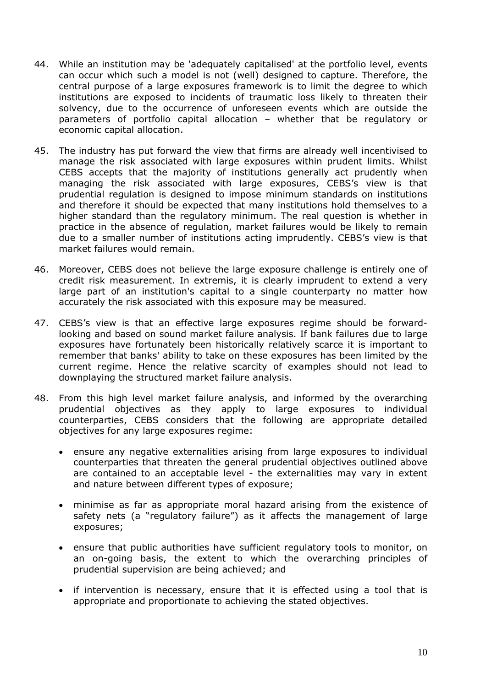- 44. While an institution may be 'adequately capitalised' at the portfolio level, events can occur which such a model is not (well) designed to capture. Therefore, the central purpose of a large exposures framework is to limit the degree to which institutions are exposed to incidents of traumatic loss likely to threaten their solvency, due to the occurrence of unforeseen events which are outside the parameters of portfolio capital allocation – whether that be regulatory or economic capital allocation.
- 45. The industry has put forward the view that firms are already well incentivised to manage the risk associated with large exposures within prudent limits. Whilst CEBS accepts that the majority of institutions generally act prudently when managing the risk associated with large exposures, CEBS's view is that prudential regulation is designed to impose minimum standards on institutions and therefore it should be expected that many institutions hold themselves to a higher standard than the regulatory minimum. The real question is whether in practice in the absence of regulation, market failures would be likely to remain due to a smaller number of institutions acting imprudently. CEBS's view is that market failures would remain.
- 46. Moreover, CEBS does not believe the large exposure challenge is entirely one of credit risk measurement. In extremis, it is clearly imprudent to extend a very large part of an institution's capital to a single counterparty no matter how accurately the risk associated with this exposure may be measured.
- 47. CEBS's view is that an effective large exposures regime should be forwardlooking and based on sound market failure analysis. If bank failures due to large exposures have fortunately been historically relatively scarce it is important to remember that banks' ability to take on these exposures has been limited by the current regime. Hence the relative scarcity of examples should not lead to downplaying the structured market failure analysis.
- 48. From this high level market failure analysis, and informed by the overarching prudential objectives as they apply to large exposures to individual counterparties, CEBS considers that the following are appropriate detailed objectives for any large exposures regime:
	- ensure any negative externalities arising from large exposures to individual counterparties that threaten the general prudential objectives outlined above are contained to an acceptable level - the externalities may vary in extent and nature between different types of exposure;
	- minimise as far as appropriate moral hazard arising from the existence of safety nets (a "regulatory failure") as it affects the management of large exposures;
	- ensure that public authorities have sufficient regulatory tools to monitor, on an on-going basis, the extent to which the overarching principles of prudential supervision are being achieved; and
	- if intervention is necessary, ensure that it is effected using a tool that is appropriate and proportionate to achieving the stated objectives.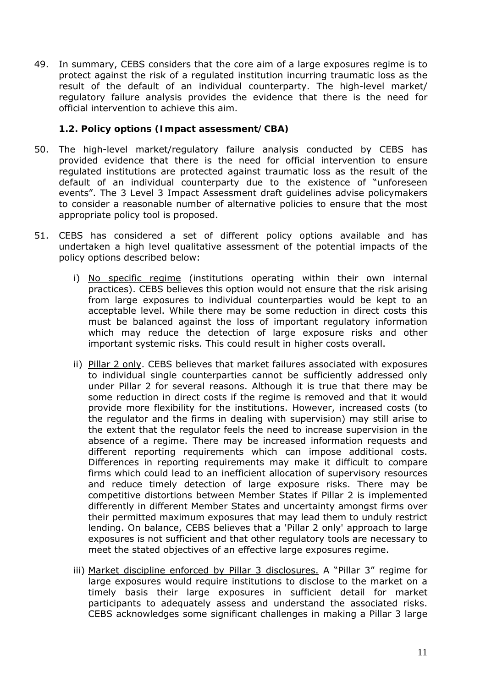49. In summary, CEBS considers that the core aim of a large exposures regime is to protect against the risk of a regulated institution incurring traumatic loss as the result of the default of an individual counterparty. The high-level market/ regulatory failure analysis provides the evidence that there is the need for official intervention to achieve this aim.

## **1.2. Policy options (Impact assessment/CBA)**

- 50. The high-level market/regulatory failure analysis conducted by CEBS has provided evidence that there is the need for official intervention to ensure regulated institutions are protected against traumatic loss as the result of the default of an individual counterparty due to the existence of "unforeseen events". The 3 Level 3 Impact Assessment draft guidelines advise policymakers to consider a reasonable number of alternative policies to ensure that the most appropriate policy tool is proposed.
- 51. CEBS has considered a set of different policy options available and has undertaken a high level qualitative assessment of the potential impacts of the policy options described below:
	- i) No specific regime (institutions operating within their own internal practices). CEBS believes this option would not ensure that the risk arising from large exposures to individual counterparties would be kept to an acceptable level. While there may be some reduction in direct costs this must be balanced against the loss of important regulatory information which may reduce the detection of large exposure risks and other important systemic risks. This could result in higher costs overall.
	- ii) Pillar 2 only. CEBS believes that market failures associated with exposures to individual single counterparties cannot be sufficiently addressed only under Pillar 2 for several reasons. Although it is true that there may be some reduction in direct costs if the regime is removed and that it would provide more flexibility for the institutions. However, increased costs (to the regulator and the firms in dealing with supervision) may still arise to the extent that the regulator feels the need to increase supervision in the absence of a regime. There may be increased information requests and different reporting requirements which can impose additional costs. Differences in reporting requirements may make it difficult to compare firms which could lead to an inefficient allocation of supervisory resources and reduce timely detection of large exposure risks. There may be competitive distortions between Member States if Pillar 2 is implemented differently in different Member States and uncertainty amongst firms over their permitted maximum exposures that may lead them to unduly restrict lending. On balance, CEBS believes that a 'Pillar 2 only' approach to large exposures is not sufficient and that other regulatory tools are necessary to meet the stated objectives of an effective large exposures regime.
	- iii) Market discipline enforced by Pillar 3 disclosures. A "Pillar 3" regime for large exposures would require institutions to disclose to the market on a timely basis their large exposures in sufficient detail for market participants to adequately assess and understand the associated risks. CEBS acknowledges some significant challenges in making a Pillar 3 large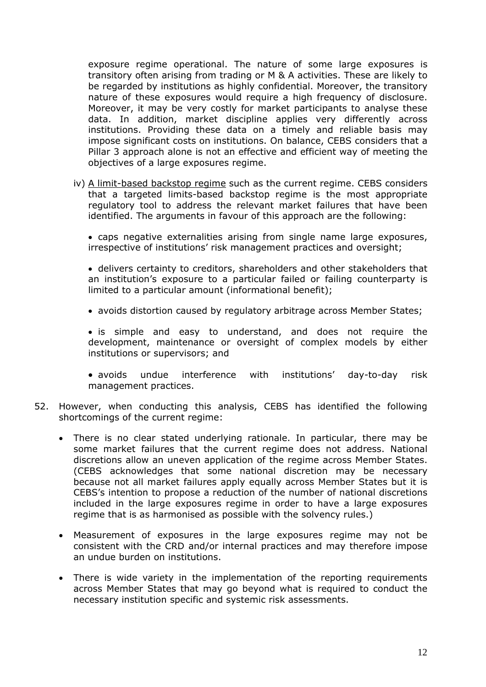exposure regime operational. The nature of some large exposures is transitory often arising from trading or M & A activities. These are likely to be regarded by institutions as highly confidential. Moreover, the transitory nature of these exposures would require a high frequency of disclosure. Moreover, it may be very costly for market participants to analyse these data. In addition, market discipline applies very differently across institutions. Providing these data on a timely and reliable basis may impose significant costs on institutions. On balance, CEBS considers that a Pillar 3 approach alone is not an effective and efficient way of meeting the objectives of a large exposures regime.

iv) A limit-based backstop regime such as the current regime. CEBS considers that a targeted limits-based backstop regime is the most appropriate regulatory tool to address the relevant market failures that have been identified. The arguments in favour of this approach are the following:

• caps negative externalities arising from single name large exposures, irrespective of institutions' risk management practices and oversight;

• delivers certainty to creditors, shareholders and other stakeholders that an institution's exposure to a particular failed or failing counterparty is limited to a particular amount (informational benefit);

• avoids distortion caused by regulatory arbitrage across Member States;

• is simple and easy to understand, and does not require the development, maintenance or oversight of complex models by either institutions or supervisors; and

• avoids undue interference with institutions' day-to-day risk management practices.

- 52. However, when conducting this analysis, CEBS has identified the following shortcomings of the current regime:
	- There is no clear stated underlying rationale. In particular, there may be some market failures that the current regime does not address. National discretions allow an uneven application of the regime across Member States. (CEBS acknowledges that some national discretion may be necessary because not all market failures apply equally across Member States but it is CEBS's intention to propose a reduction of the number of national discretions included in the large exposures regime in order to have a large exposures regime that is as harmonised as possible with the solvency rules.)
	- Measurement of exposures in the large exposures regime may not be consistent with the CRD and/or internal practices and may therefore impose an undue burden on institutions.
	- There is wide variety in the implementation of the reporting requirements across Member States that may go beyond what is required to conduct the necessary institution specific and systemic risk assessments.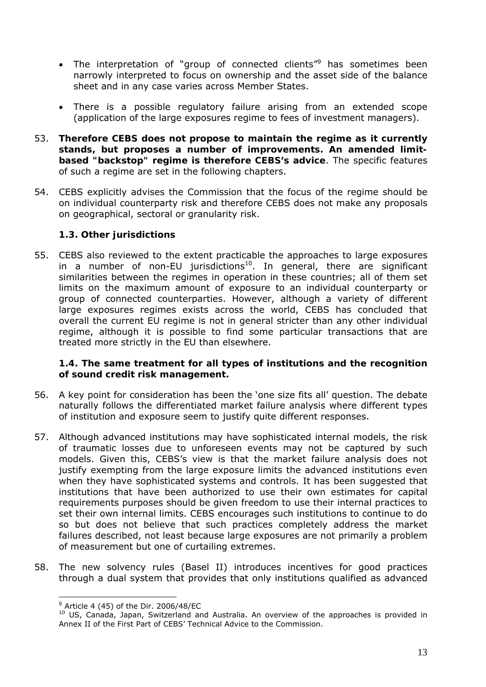- The interpretation of "group of connected clients"<sup>9</sup> has sometimes been narrowly interpreted to focus on ownership and the asset side of the balance sheet and in any case varies across Member States.
- There is a possible regulatory failure arising from an extended scope (application of the large exposures regime to fees of investment managers).
- 53. **Therefore CEBS does not propose to maintain the regime as it currently stands, but proposes a number of improvements. An amended limitbased "backstop" regime is therefore CEBS's advice**. The specific features of such a regime are set in the following chapters.
- 54. CEBS explicitly advises the Commission that the focus of the regime should be on individual counterparty risk and therefore CEBS does not make any proposals on geographical, sectoral or granularity risk.

## **1.3. Other jurisdictions**

55. CEBS also reviewed to the extent practicable the approaches to large exposures in a number of non-EU jurisdictions<sup>10</sup>. In general, there are significant similarities between the regimes in operation in these countries; all of them set limits on the maximum amount of exposure to an individual counterparty or group of connected counterparties. However, although a variety of different large exposures regimes exists across the world, CEBS has concluded that overall the current EU regime is not in general stricter than any other individual regime, although it is possible to find some particular transactions that are treated more strictly in the EU than elsewhere.

## **1.4. The same treatment for all types of institutions and the recognition of sound credit risk management.**

- 56. A key point for consideration has been the 'one size fits all' question. The debate naturally follows the differentiated market failure analysis where different types of institution and exposure seem to justify quite different responses.
- 57. Although advanced institutions may have sophisticated internal models, the risk of traumatic losses due to unforeseen events may not be captured by such models. Given this, CEBS's view is that the market failure analysis does not justify exempting from the large exposure limits the advanced institutions even when they have sophisticated systems and controls. It has been suggested that institutions that have been authorized to use their own estimates for capital requirements purposes should be given freedom to use their internal practices to set their own internal limits. CEBS encourages such institutions to continue to do so but does not believe that such practices completely address the market failures described, not least because large exposures are not primarily a problem of measurement but one of curtailing extremes.
- 58. The new solvency rules (Basel II) introduces incentives for good practices through a dual system that provides that only institutions qualified as advanced

 $\overline{a}$  $9$  Article 4 (45) of the Dir. 2006/48/EC

<sup>&</sup>lt;sup>10</sup> US, Canada, Japan, Switzerland and Australia. An overview of the approaches is provided in Annex II of the First Part of CEBS' Technical Advice to the Commission.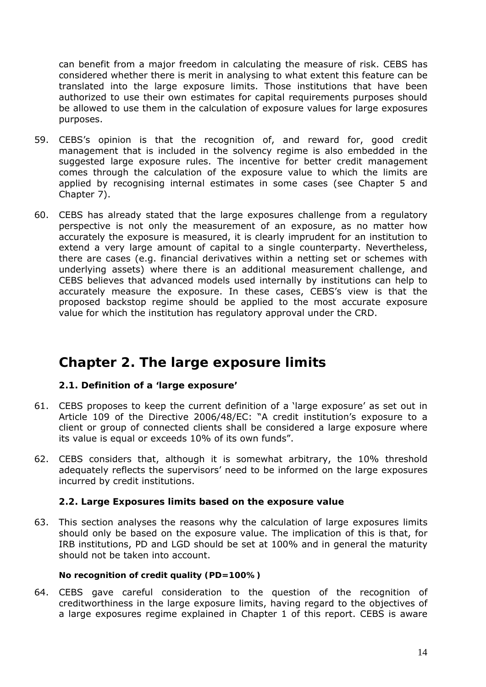can benefit from a major freedom in calculating the measure of risk. CEBS has considered whether there is merit in analysing to what extent this feature can be translated into the large exposure limits. Those institutions that have been authorized to use their own estimates for capital requirements purposes should be allowed to use them in the calculation of exposure values for large exposures purposes.

- 59. CEBS's opinion is that the recognition of, and reward for, good credit management that is included in the solvency regime is also embedded in the suggested large exposure rules. The incentive for better credit management comes through the calculation of the exposure value to which the limits are applied by recognising internal estimates in some cases (see Chapter 5 and Chapter 7).
- 60. CEBS has already stated that the large exposures challenge from a regulatory perspective is not only the measurement of an exposure, as no matter how accurately the exposure is measured, it is clearly imprudent for an institution to extend a very large amount of capital to a single counterparty. Nevertheless, there are cases (e.g. financial derivatives within a netting set or schemes with underlying assets) where there is an additional measurement challenge, and CEBS believes that advanced models used internally by institutions can help to accurately measure the exposure. In these cases, CEBS's view is that the proposed backstop regime should be applied to the most accurate exposure value for which the institution has regulatory approval under the CRD.

# **Chapter 2. The large exposure limits**

## **2.1. Definition of a 'large exposure'**

- 61. CEBS proposes to keep the current definition of a 'large exposure' as set out in Article 109 of the Directive 2006/48/EC: "A credit institution's exposure to a client or group of connected clients shall be considered a large exposure where its value is equal or exceeds 10% of its own funds".
- 62. CEBS considers that, although it is somewhat arbitrary, the 10% threshold adequately reflects the supervisors' need to be informed on the large exposures incurred by credit institutions.

## **2.2. Large Exposures limits based on the exposure value**

63. This section analyses the reasons why the calculation of large exposures limits should only be based on the exposure value. The implication of this is that, for IRB institutions, PD and LGD should be set at 100% and in general the maturity should not be taken into account.

## *No recognition of credit quality (PD=100%)*

64. CEBS gave careful consideration to the question of the recognition of creditworthiness in the large exposure limits, having regard to the objectives of a large exposures regime explained in Chapter 1 of this report. CEBS is aware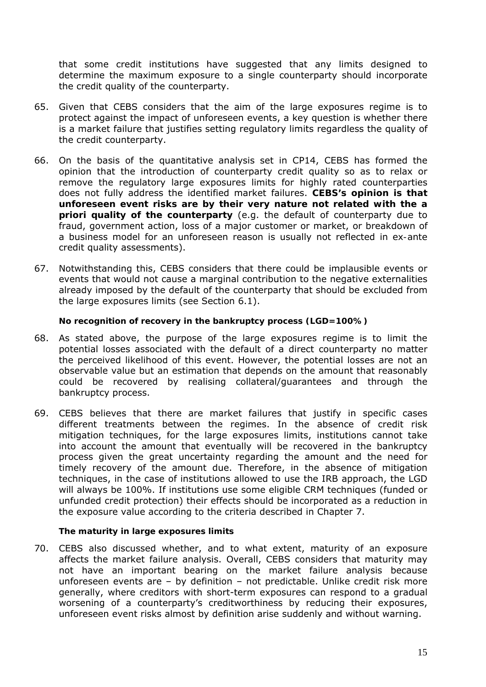that some credit institutions have suggested that any limits designed to determine the maximum exposure to a single counterparty should incorporate the credit quality of the counterparty.

- 65. Given that CEBS considers that the aim of the large exposures regime is to protect against the impact of unforeseen events, a key question is whether there is a market failure that justifies setting regulatory limits regardless the quality of the credit counterparty.
- 66. On the basis of the quantitative analysis set in CP14, CEBS has formed the opinion that the introduction of counterparty credit quality so as to relax or remove the regulatory large exposures limits for highly rated counterparties does not fully address the identified market failures. **CEBS's opinion is that unforeseen event risks are by their very nature not related with the** *a*  **priori quality of the counterparty** (e.g. the default of counterparty due to fraud, government action, loss of a major customer or market, or breakdown of a business model for an unforeseen reason is usually not reflected in *ex-ante*  credit quality assessments).
- 67. Notwithstanding this, CEBS considers that there could be implausible events or events that would not cause a marginal contribution to the negative externalities already imposed by the default of the counterparty that should be excluded from the large exposures limits (see Section 6.1).

#### *No recognition of recovery in the bankruptcy process (LGD=100%)*

- 68. As stated above, the purpose of the large exposures regime is to limit the potential losses associated with the default of a direct counterparty no matter the perceived likelihood of this event. However, the potential losses are not an observable value but an estimation that depends on the amount that reasonably could be recovered by realising collateral/guarantees and through the bankruptcy process.
- 69. CEBS believes that there are market failures that justify in specific cases different treatments between the regimes. In the absence of credit risk mitigation techniques, for the large exposures limits, institutions cannot take into account the amount that eventually will be recovered in the bankruptcy process given the great uncertainty regarding the amount and the need for timely recovery of the amount due. Therefore, in the absence of mitigation techniques, in the case of institutions allowed to use the IRB approach, the LGD will always be 100%. If institutions use some eligible CRM techniques (funded or unfunded credit protection) their effects should be incorporated as a reduction in the exposure value according to the criteria described in Chapter 7.

#### *The maturity in large exposures limits*

70. CEBS also discussed whether, and to what extent, maturity of an exposure affects the market failure analysis. Overall, CEBS considers that maturity may not have an important bearing on the market failure analysis because unforeseen events are – by definition – not predictable. Unlike credit risk more generally, where creditors with short-term exposures can respond to a gradual worsening of a counterparty's creditworthiness by reducing their exposures, unforeseen event risks almost by definition arise suddenly and without warning.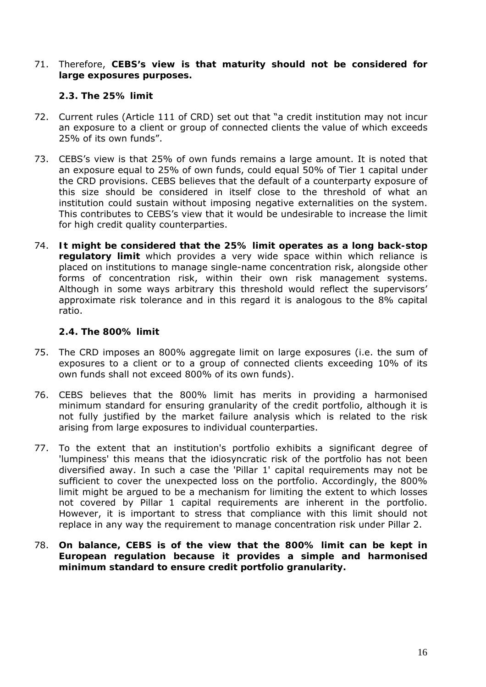71. Therefore, **CEBS's view is that maturity should not be considered for large exposures purposes.**

### **2.3. The 25% limit**

- 72. Current rules (Article 111 of CRD) set out that "a credit institution may not incur an exposure to a client or group of connected clients the value of which exceeds 25% of its own funds".
- 73. CEBS's view is that 25% of own funds remains a large amount. It is noted that an exposure equal to 25% of own funds, could equal 50% of Tier 1 capital under the CRD provisions. CEBS believes that the default of a counterparty exposure of this size should be considered in itself close to the threshold of what an institution could sustain without imposing negative externalities on the system. This contributes to CEBS's view that it would be undesirable to increase the limit for high credit quality counterparties.
- 74. **It might be considered that the 25% limit operates as a long back-stop regulatory limit** which provides a very wide space within which reliance is placed on institutions to manage single-name concentration risk, alongside other forms of concentration risk, within their own risk management systems. Although in some ways arbitrary this threshold would reflect the supervisors' approximate risk tolerance and in this regard it is analogous to the 8% capital ratio.

### **2.4. The 800% limit**

- 75. The CRD imposes an 800% aggregate limit on large exposures (i.e. the sum of exposures to a client or to a group of connected clients exceeding 10% of its own funds shall not exceed 800% of its own funds).
- 76. CEBS believes that the 800% limit has merits in providing a harmonised minimum standard for ensuring granularity of the credit portfolio, although it is not fully justified by the market failure analysis which is related to the risk arising from large exposures to individual counterparties.
- 77. To the extent that an institution's portfolio exhibits a significant degree of 'lumpiness' this means that the idiosyncratic risk of the portfolio has not been diversified away. In such a case the 'Pillar 1' capital requirements may not be sufficient to cover the unexpected loss on the portfolio. Accordingly, the 800% limit might be argued to be a mechanism for limiting the extent to which losses not covered by Pillar 1 capital requirements are inherent in the portfolio. However, it is important to stress that compliance with this limit should not replace in any way the requirement to manage concentration risk under Pillar 2.
- 78. **On balance, CEBS is of the view that the 800% limit can be kept in European regulation because it provides a simple and harmonised minimum standard to ensure credit portfolio granularity.**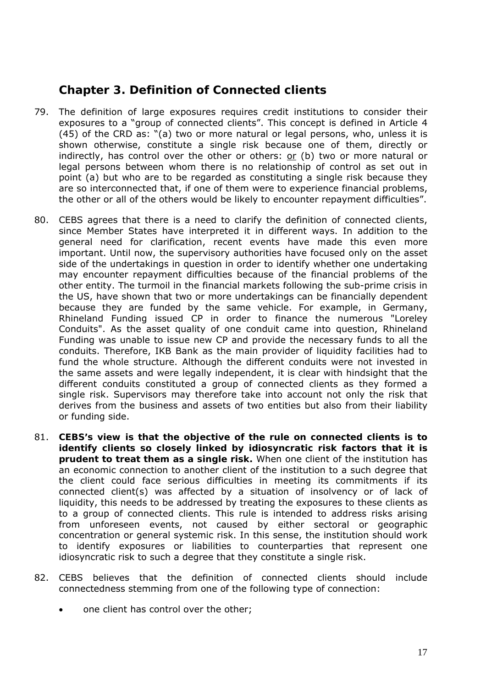# **Chapter 3. Definition of Connected clients**

- 79. The definition of large exposures requires credit institutions to consider their exposures to a "group of connected clients". This concept is defined in Article 4 (45) of the CRD as: "(a) two or more natural or legal persons, who, unless it is shown otherwise, constitute a single risk because one of them, directly or indirectly, has control over the other or others:  $or$  (b) two or more natural or legal persons between whom there is no relationship of control as set out in point (a) but who are to be regarded as constituting a single risk because they are so interconnected that, if one of them were to experience financial problems, the other or all of the others would be likely to encounter repayment difficulties".
- 80. CEBS agrees that there is a need to clarify the definition of connected clients, since Member States have interpreted it in different ways. In addition to the general need for clarification, recent events have made this even more important. Until now, the supervisory authorities have focused only on the asset side of the undertakings in question in order to identify whether one undertaking may encounter repayment difficulties because of the financial problems of the other entity. The turmoil in the financial markets following the sub-prime crisis in the US, have shown that two or more undertakings can be financially dependent because they are funded by the same vehicle. For example, in Germany, Rhineland Funding issued CP in order to finance the numerous "Loreley Conduits". As the asset quality of one conduit came into question, Rhineland Funding was unable to issue new CP and provide the necessary funds to all the conduits. Therefore, IKB Bank as the main provider of liquidity facilities had to fund the whole structure. Although the different conduits were not invested in the same assets and were legally independent, it is clear with hindsight that the different conduits constituted a group of connected clients as they formed a single risk. Supervisors may therefore take into account not only the risk that derives from the business and assets of two entities but also from their liability or funding side.
- 81. **CEBS's view is that the objective of the rule on connected clients is to identify clients so closely linked by idiosyncratic risk factors that it is prudent to treat them as a single risk.** When one client of the institution has an economic connection to another client of the institution to a such degree that the client could face serious difficulties in meeting its commitments if its connected client(s) was affected by a situation of insolvency or of lack of liquidity, this needs to be addressed by treating the exposures to these clients as to a group of connected clients. This rule is intended to address risks arising from unforeseen events, not caused by either sectoral or geographic concentration or general systemic risk. In this sense, the institution should work to identify exposures or liabilities to counterparties that represent one idiosyncratic risk to such a degree that they constitute a single risk.
- 82. CEBS believes that the definition of connected clients should include connectedness stemming from one of the following type of connection:
	- one client has control over the other;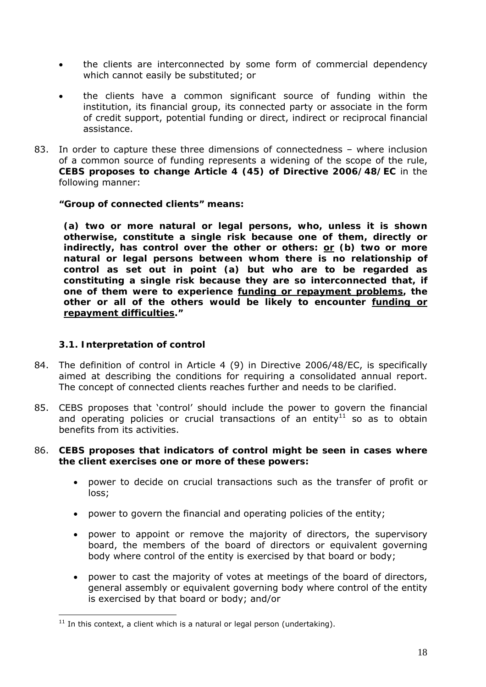- the clients are interconnected by some form of commercial dependency which cannot easily be substituted; or
- the clients have a common significant source of funding within the institution, its financial group, its connected party or associate in the form of credit support, potential funding or direct, indirect or reciprocal financial assistance.
- 83. In order to capture these three dimensions of connectedness where inclusion of a common source of funding represents a widening of the scope of the rule, **CEBS proposes to change Article 4 (45) of Directive 2006/48/EC** in the following manner:

*"Group of connected clients" means:* 

 *(a) two or more natural or legal persons, who, unless it is shown otherwise, constitute a single risk because one of them, directly or indirectly, has control over the other or others: or (b) two or more natural or legal persons between whom there is no relationship of control as set out in point (a) but who are to be regarded as constituting a single risk because they are so interconnected that, if one of them were to experience funding or repayment problems, the other or all of the others would be likely to encounter funding or repayment difficulties."* 

#### **3.1. Interpretation of control**

- 84. The definition of control in Article 4 (9) in Directive 2006/48/EC, is specifically aimed at describing the conditions for requiring a consolidated annual report. The concept of connected clients reaches further and needs to be clarified.
- 85. CEBS proposes that 'control' should include the power to govern the financial and operating policies or crucial transactions of an entity $11$  so as to obtain benefits from its activities.

### 86. **CEBS proposes that indicators of control might be seen in cases where the client exercises one or more of these powers:**

- power to decide on crucial transactions such as the transfer of profit or loss;
- power to govern the financial and operating policies of the entity;
- power to appoint or remove the majority of directors, the supervisory board, the members of the board of directors or equivalent governing body where control of the entity is exercised by that board or body;
- power to cast the majority of votes at meetings of the board of directors, general assembly or equivalent governing body where control of the entity is exercised by that board or body; and/or

 $\overline{a}$  $11$  In this context, a client which is a natural or legal person (undertaking).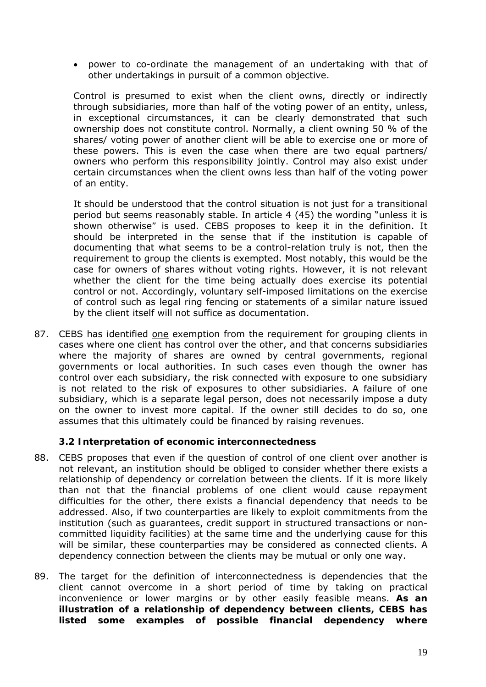• power to co-ordinate the management of an undertaking with that of other undertakings in pursuit of a common objective.

Control is presumed to exist when the client owns, directly or indirectly through subsidiaries, more than half of the voting power of an entity, unless, in exceptional circumstances, it can be clearly demonstrated that such ownership does not constitute control. Normally, a client owning 50 % of the shares/ voting power of another client will be able to exercise one or more of these powers. This is even the case when there are two equal partners/ owners who perform this responsibility jointly. Control may also exist under certain circumstances when the client owns less than half of the voting power of an entity.

It should be understood that the control situation is not just for a transitional period but seems reasonably stable. In article 4 (45) the wording "*unless it is shown otherwise"* is used. CEBS proposes to keep it in the definition. It should be interpreted in the sense that if the institution is capable of documenting that what seems to be a control-relation truly is not, then the requirement to group the clients is exempted. Most notably, this would be the case for owners of shares without voting rights. However, it is not relevant whether the client for the time being actually does exercise its potential control or not. Accordingly, voluntary self-imposed limitations on the exercise of control such as legal ring fencing or statements of a similar nature issued by the client itself will not suffice as documentation.

87. CEBS has identified one exemption from the requirement for grouping clients in cases where one client has control over the other, and that concerns subsidiaries where the majority of shares are owned by central governments, regional governments or local authorities. In such cases even though the owner has control over each subsidiary, the risk connected with exposure to one subsidiary is not related to the risk of exposures to other subsidiaries. A failure of one subsidiary, which is a separate legal person, does not necessarily impose a duty on the owner to invest more capital. If the owner still decides to do so, one assumes that this ultimately could be financed by raising revenues.

#### **3.2 Interpretation of economic interconnectedness**

- 88. CEBS proposes that even if the question of control of one client over another is not relevant, an institution should be obliged to consider whether there exists a relationship of dependency or correlation between the clients. If it is more likely than not that the financial problems of one client would cause repayment difficulties for the other, there exists a financial dependency that needs to be addressed. Also, if two counterparties are likely to exploit commitments from the institution (such as guarantees, credit support in structured transactions or noncommitted liquidity facilities) at the same time and the underlying cause for this will be similar, these counterparties may be considered as connected clients. A dependency connection between the clients may be mutual or only one way.
- 89. The target for the definition of interconnectedness is dependencies that the client cannot overcome in a short period of time by taking on practical inconvenience or lower margins or by other easily feasible means. **As an illustration of a relationship of dependency between clients, CEBS has listed some examples of possible financial dependency where**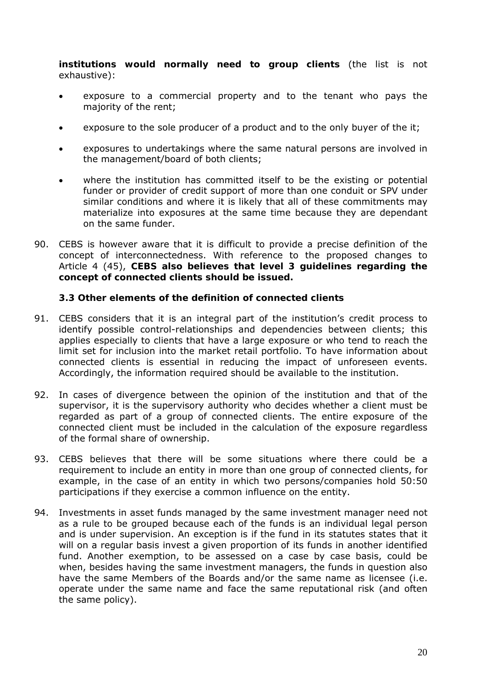**institutions would normally need to group clients** (the list is not exhaustive):

- exposure to a commercial property and to the tenant who pays the majority of the rent;
- exposure to the sole producer of a product and to the only buyer of the it;
- exposures to undertakings where the same natural persons are involved in the management/board of both clients;
- where the institution has committed itself to be the existing or potential funder or provider of credit support of more than one conduit or SPV under similar conditions and where it is likely that all of these commitments may materialize into exposures at the same time because they are dependant on the same funder.
- 90. CEBS is however aware that it is difficult to provide a precise definition of the concept of interconnectedness. With reference to the proposed changes to Article 4 (45), **CEBS also believes that level 3 guidelines regarding the concept of connected clients should be issued.**

### **3.3 Other elements of the definition of connected clients**

- 91. CEBS considers that it is an integral part of the institution's credit process to identify possible control-relationships and dependencies between clients; this applies especially to clients that have a large exposure or who tend to reach the limit set for inclusion into the market retail portfolio. To have information about connected clients is essential in reducing the impact of unforeseen events. Accordingly, the information required should be available to the institution.
- 92. In cases of divergence between the opinion of the institution and that of the supervisor, it is the supervisory authority who decides whether a client must be regarded as part of a group of connected clients. The entire exposure of the connected client must be included in the calculation of the exposure regardless of the formal share of ownership.
- 93. CEBS believes that there will be some situations where there could be a requirement to include an entity in more than one group of connected clients, for example, in the case of an entity in which two persons/companies hold 50:50 participations if they exercise a common influence on the entity.
- 94. Investments in asset funds managed by the same investment manager need not as a rule to be grouped because each of the funds is an individual legal person and is under supervision. An exception is if the fund in its statutes states that it will on a regular basis invest a given proportion of its funds in another identified fund. Another exemption, to be assessed on a case by case basis, could be when, besides having the same investment managers, the funds in question also have the same Members of the Boards and/or the same name as licensee (i.e. operate under the same name and face the same reputational risk (and often the same policy).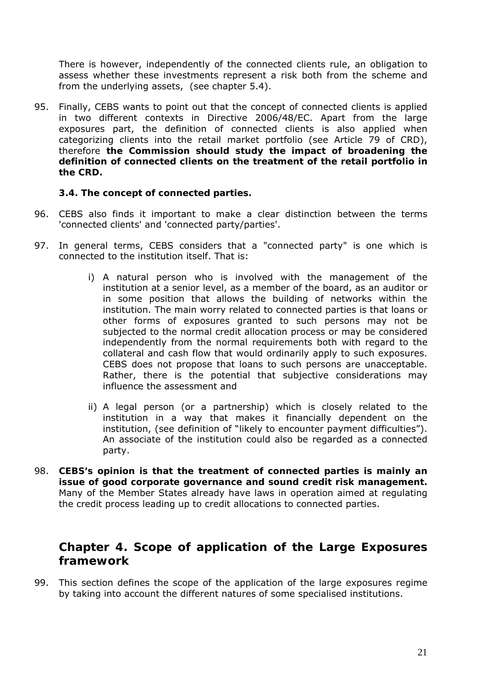There is however, independently of the connected clients rule, an obligation to assess whether these investments represent a risk both from the scheme and from the underlying assets, (see chapter 5.4).

95. Finally, CEBS wants to point out that the concept of connected clients is applied in two different contexts in Directive 2006/48/EC. Apart from the large exposures part, the definition of connected clients is also applied when categorizing clients into the retail market portfolio (see Article 79 of CRD), therefore **the Commission should study the impact of broadening the definition of connected clients on the treatment of the retail portfolio in the CRD.**

### **3.4. The concept of connected parties.**

- 96. CEBS also finds it important to make a clear distinction between the terms 'connected clients' and 'connected party/parties'.
- 97. In general terms, CEBS considers that a "connected party" is one which is connected to the institution itself. That is:
	- i) A natural person who is involved with the management of the institution at a senior level, as a member of the board, as an auditor or in some position that allows the building of networks within the institution. The main worry related to connected parties is that loans or other forms of exposures granted to such persons may not be subjected to the normal credit allocation process or may be considered independently from the normal requirements both with regard to the collateral and cash flow that would ordinarily apply to such exposures. CEBS does not propose that loans to such persons are unacceptable. Rather, there is the potential that subjective considerations may influence the assessment and
	- ii) A legal person (or a partnership) which is closely related to the institution in a way that makes it financially dependent on the institution, (see definition of "likely to encounter payment difficulties"). An associate of the institution could also be regarded as a connected party.
- 98. **CEBS's opinion is that the treatment of connected parties is mainly an issue of good corporate governance and sound credit risk management.** Many of the Member States already have laws in operation aimed at regulating the credit process leading up to credit allocations to connected parties.

# **Chapter 4. Scope of application of the Large Exposures framework**

99. This section defines the scope of the application of the large exposures regime by taking into account the different natures of some specialised institutions.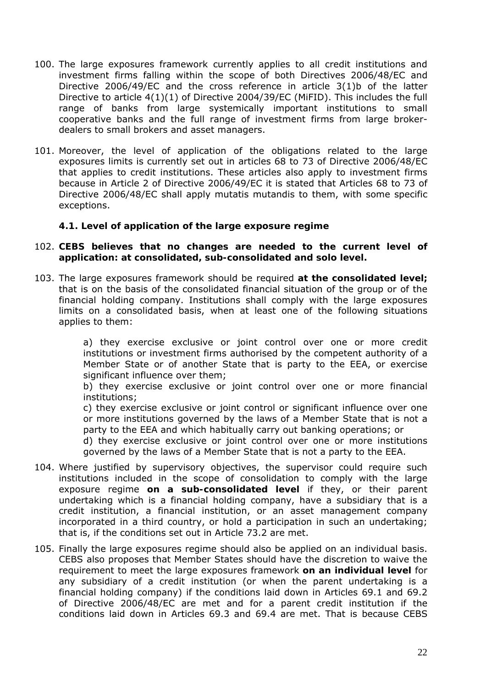- 100. The large exposures framework currently applies to all credit institutions and investment firms falling within the scope of both Directives 2006/48/EC and Directive 2006/49/EC and the cross reference in article 3(1)b of the latter Directive to article 4(1)(1) of Directive 2004/39/EC (MiFID). This includes the full range of banks from large systemically important institutions to small cooperative banks and the full range of investment firms from large brokerdealers to small brokers and asset managers.
- 101. Moreover, the level of application of the obligations related to the large exposures limits is currently set out in articles 68 to 73 of Directive 2006/48/EC that applies to credit institutions. These articles also apply to investment firms because in Article 2 of Directive 2006/49/EC it is stated that Articles 68 to 73 of Directive 2006/48/EC shall apply mutatis mutandis to them, with some specific exceptions.

#### **4.1. Level of application of the large exposure regime**

- 102. **CEBS believes that no changes are needed to the current level of application: at consolidated, sub-consolidated and solo level.**
- 103. The large exposures framework should be required **at the consolidated level;**  that is on the basis of the consolidated financial situation of the group or of the financial holding company. Institutions shall comply with the large exposures limits on a consolidated basis, when at least one of the following situations applies to them:

a) they exercise exclusive or joint control over one or more credit institutions or investment firms authorised by the competent authority of a Member State or of another State that is party to the EEA, or exercise significant influence over them;

b) they exercise exclusive or joint control over one or more financial institutions;

c) they exercise exclusive or joint control or significant influence over one or more institutions governed by the laws of a Member State that is not a party to the EEA and which habitually carry out banking operations; or

d) they exercise exclusive or joint control over one or more institutions governed by the laws of a Member State that is not a party to the EEA.

- 104. Where justified by supervisory objectives, the supervisor could require such institutions included in the scope of consolidation to comply with the large exposure regime **on a sub-consolidated level** if they, or their parent undertaking which is a financial holding company, have a subsidiary that is a credit institution, a financial institution, or an asset management company incorporated in a third country, or hold a participation in such an undertaking; that is, if the conditions set out in Article 73.2 are met.
- 105. Finally the large exposures regime should also be applied on an individual basis. CEBS also proposes that Member States should have the discretion to waive the requirement to meet the large exposures framework **on an individual level** for any subsidiary of a credit institution (or when the parent undertaking is a financial holding company) if the conditions laid down in Articles 69.1 and 69.2 of Directive 2006/48/EC are met and for a parent credit institution if the conditions laid down in Articles 69.3 and 69.4 are met. That is because CEBS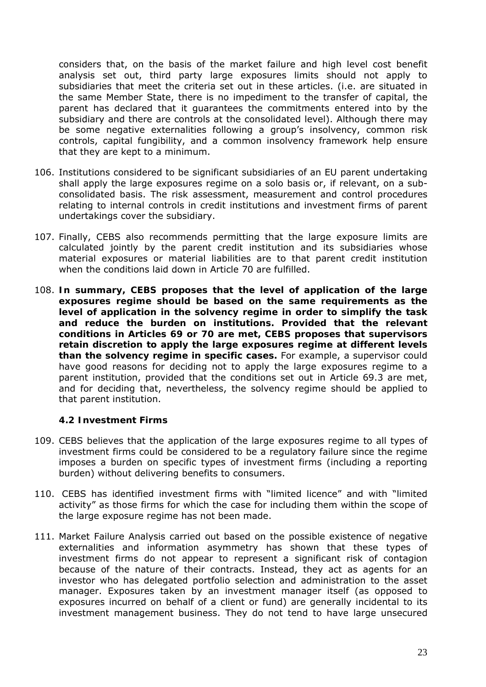considers that, on the basis of the market failure and high level cost benefit analysis set out, third party large exposures limits should not apply to subsidiaries that meet the criteria set out in these articles. (i.e. are situated in the same Member State, there is no impediment to the transfer of capital, the parent has declared that it guarantees the commitments entered into by the subsidiary and there are controls at the consolidated level). Although there may be some negative externalities following a group's insolvency, common risk controls, capital fungibility, and a common insolvency framework help ensure that they are kept to a minimum.

- 106. Institutions considered to be significant subsidiaries of an EU parent undertaking shall apply the large exposures regime on a solo basis or, if relevant, on a subconsolidated basis. The risk assessment, measurement and control procedures relating to internal controls in credit institutions and investment firms of parent undertakings cover the subsidiary.
- 107. Finally, CEBS also recommends permitting that the large exposure limits are calculated jointly by the parent credit institution and its subsidiaries whose material exposures or material liabilities are to that parent credit institution when the conditions laid down in Article 70 are fulfilled.
- 108. **In summary, CEBS proposes that the level of application of the large exposures regime should be based on the same requirements as the level of application in the solvency regime in order to simplify the task and reduce the burden on institutions. Provided that the relevant conditions in Articles 69 or 70 are met, CEBS proposes that supervisors retain discretion to apply the large exposures regime at different levels than the solvency regime in specific cases.** For example, a supervisor could have good reasons for deciding not to apply the large exposures regime to a parent institution, provided that the conditions set out in Article 69.3 are met, and for deciding that, nevertheless, the solvency regime should be applied to that parent institution.

#### **4.2 Investment Firms**

- 109. CEBS believes that the application of the large exposures regime to all types of investment firms could be considered to be a regulatory failure since the regime imposes a burden on specific types of investment firms (including a reporting burden) without delivering benefits to consumers.
- 110. CEBS has identified investment firms with "limited licence" and with "limited activity" as those firms for which the case for including them within the scope of the large exposure regime has not been made.
- 111. Market Failure Analysis carried out based on the possible existence of negative externalities and information asymmetry has shown that these types of investment firms do not appear to represent a significant risk of contagion because of the nature of their contracts. Instead, they act as agents for an investor who has delegated portfolio selection and administration to the asset manager. Exposures taken by an investment manager itself (as opposed to exposures incurred on behalf of a client or fund) are generally incidental to its investment management business. They do not tend to have large unsecured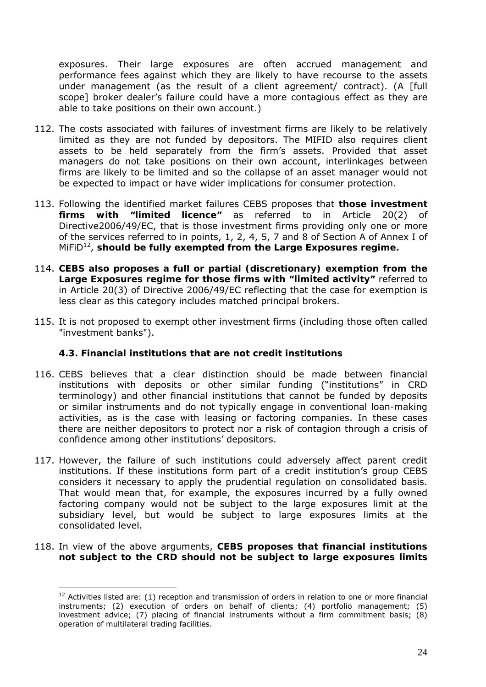exposures. Their large exposures are often accrued management and performance fees against which they are likely to have recourse to the assets under management (as the result of a client agreement/ contract). (A [full scope] broker dealer's failure could have a more contagious effect as they are able to take positions on their own account.)

- 112. The costs associated with failures of investment firms are likely to be relatively limited as they are not funded by depositors. The MIFID also requires client assets to be held separately from the firm's assets. Provided that asset managers do not take positions on their own account, interlinkages between firms are likely to be limited and so the collapse of an asset manager would not be expected to impact or have wider implications for consumer protection.
- 113. Following the identified market failures CEBS proposes that **those investment firms with "limited licence"** as referred to in Article 20(2) of Directive2006/49/EC, that is those investment firms providing only one or more of the services referred to in points, 1, 2, 4, 5, 7 and 8 of Section A of Annex I of MiFiD<sup>12</sup>, should be fully exempted from the Large Exposures regime.
- 114. **CEBS also proposes a full or partial (discretionary) exemption from the Large Exposures regime for those firms with "limited activity"** referred to in Article 20(3) of Directive 2006/49/EC reflecting that the case for exemption is less clear as this category includes matched principal brokers.
- 115. It is not proposed to exempt other investment firms (including those often called "investment banks").

## **4.3. Financial institutions that are not credit institutions**

- 116. CEBS believes that a clear distinction should be made between financial institutions with deposits or other similar funding ("institutions" in CRD terminology) and other financial institutions that cannot be funded by deposits or similar instruments and do not typically engage in conventional loan-making activities, as is the case with leasing or factoring companies. In these cases there are neither depositors to protect nor a risk of contagion through a crisis of confidence among other institutions' depositors.
- 117. However, the failure of such institutions could adversely affect parent credit institutions. If these institutions form part of a credit institution's group CEBS considers it necessary to apply the prudential regulation on consolidated basis. That would mean that, for example, the exposures incurred by a fully owned factoring company would not be subject to the large exposures limit at the subsidiary level, but would be subject to large exposures limits at the consolidated level.
- 118. In view of the above arguments, **CEBS proposes that financial institutions not subject to the CRD should not be subject to large exposures limits**

 $12$  Activities listed are: (1) reception and transmission of orders in relation to one or more financial instruments; (2) execution of orders on behalf of clients; (4) portfolio management; (5) investment advice; (7) placing of financial instruments without a firm commitment basis; (8) operation of multilateral trading facilities.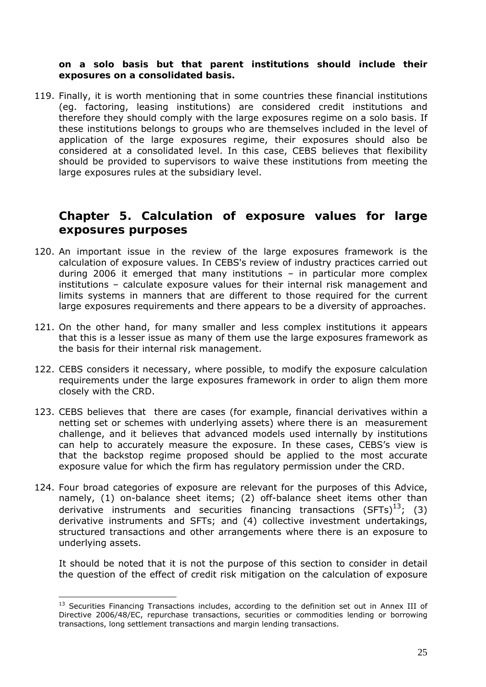#### **on a solo basis but that parent institutions should include their exposures on a consolidated basis.**

119. Finally, it is worth mentioning that in some countries these financial institutions (eg. factoring, leasing institutions) are considered credit institutions and therefore they should comply with the large exposures regime on a solo basis. If these institutions belongs to groups who are themselves included in the level of application of the large exposures regime, their exposures should also be considered at a consolidated level. In this case, CEBS believes that flexibility should be provided to supervisors to waive these institutions from meeting the large exposures rules at the subsidiary level.

# **Chapter 5. Calculation of exposure values for large exposures purposes**

- 120. An important issue in the review of the large exposures framework is the calculation of exposure values. In CEBS's review of industry practices carried out during 2006 it emerged that many institutions – in particular more complex institutions – calculate exposure values for their internal risk management and limits systems in manners that are different to those required for the current large exposures requirements and there appears to be a diversity of approaches.
- 121. On the other hand, for many smaller and less complex institutions it appears that this is a lesser issue as many of them use the large exposures framework as the basis for their internal risk management.
- 122. CEBS considers it necessary, where possible, to modify the exposure calculation requirements under the large exposures framework in order to align them more closely with the CRD.
- 123. CEBS believes that there are cases (for example, financial derivatives within a netting set or schemes with underlying assets) where there is an measurement challenge, and it believes that advanced models used internally by institutions can help to accurately measure the exposure. In these cases, CEBS's view is that the backstop regime proposed should be applied to the most accurate exposure value for which the firm has regulatory permission under the CRD.
- 124. Four broad categories of exposure are relevant for the purposes of this Advice, namely, (1) on-balance sheet items; (2) off-balance sheet items other than derivative instruments and securities financing transactions  $(SFTs)^{13}$ : (3) derivative instruments and SFTs; and (4) collective investment undertakings, structured transactions and other arrangements where there is an exposure to underlying assets.

It should be noted that it is not the purpose of this section to consider in detail the question of the effect of credit risk mitigation on the calculation of exposure

<sup>&</sup>lt;sup>13</sup> Securities Financing Transactions includes, according to the definition set out in Annex III of Directive 2006/48/EC, repurchase transactions, securities or commodities lending or borrowing transactions, long settlement transactions and margin lending transactions.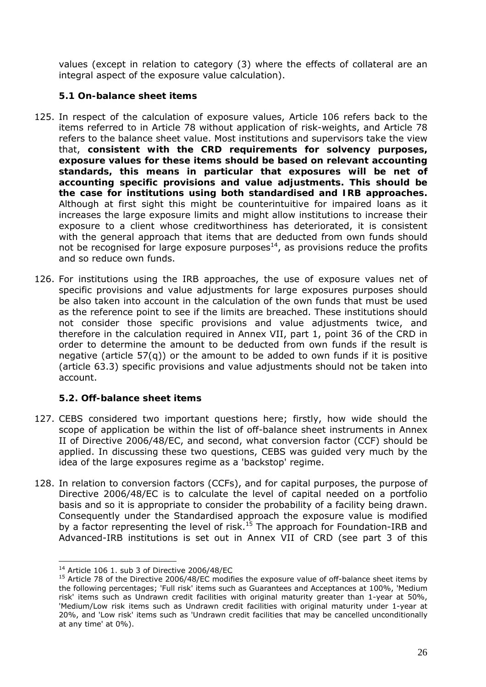values (except in relation to category (3) where the effects of collateral are an integral aspect of the exposure value calculation).

# **5.1 On-balance sheet items**

- 125. In respect of the calculation of exposure values, Article 106 refers back to the items referred to in Article 78 without application of risk-weights, and Article 78 refers to the balance sheet value. Most institutions and supervisors take the view that, **consistent with the CRD requirements for solvency purposes, exposure values for these items should be based on relevant accounting standards, this means in particular that exposures will be net of accounting specific provisions and value adjustments. This should be the case for institutions using both standardised and IRB approaches.** Although at first sight this might be counterintuitive for impaired loans as it increases the large exposure limits and might allow institutions to increase their exposure to a client whose creditworthiness has deteriorated, it is consistent with the general approach that items that are deducted from own funds should not be recognised for large exposure purposes $14$ , as provisions reduce the profits and so reduce own funds.
- 126. For institutions using the IRB approaches, the use of exposure values net of specific provisions and value adjustments for large exposures purposes should be also taken into account in the calculation of the own funds that must be used as the reference point to see if the limits are breached. These institutions should not consider those specific provisions and value adjustments twice, and therefore in the calculation required in Annex VII, part 1, point 36 of the CRD in order to determine the amount to be deducted from own funds if the result is negative (article  $57(q)$ ) or the amount to be added to own funds if it is positive (article 63.3) specific provisions and value adjustments should not be taken into account.

# **5.2. Off-balance sheet items**

- 127. CEBS considered two important questions here; firstly, how wide should the scope of application be within the list of off-balance sheet instruments in Annex II of Directive 2006/48/EC, and second, what conversion factor (CCF) should be applied. In discussing these two questions, CEBS was guided very much by the idea of the large exposures regime as a 'backstop' regime.
- 128. In relation to conversion factors (CCFs), and for capital purposes, the purpose of Directive 2006/48/EC is to calculate the level of capital needed on a portfolio basis and so it is appropriate to consider the probability of a facility being drawn. Consequently under the Standardised approach the exposure value is modified by a factor representing the level of risk.<sup>15</sup> The approach for Foundation-IRB and Advanced-IRB institutions is set out in Annex VII of CRD (see part 3 of this

 $\overline{a}$ 

<sup>&</sup>lt;sup>14</sup> Article 106 1. sub 3 of Directive 2006/48/EC<br><sup>15</sup> Article 78 of the Directive 2006/48/EC modifies the exposure value of off-balance sheet items by the following percentages; 'Full risk' items such as Guarantees and Acceptances at 100%, 'Medium risk' items such as Undrawn credit facilities with original maturity greater than 1-year at 50%, 'Medium/Low risk items such as Undrawn credit facilities with original maturity under 1-year at 20%, and 'Low risk' items such as 'Undrawn credit facilities that may be cancelled unconditionally at any time' at 0%).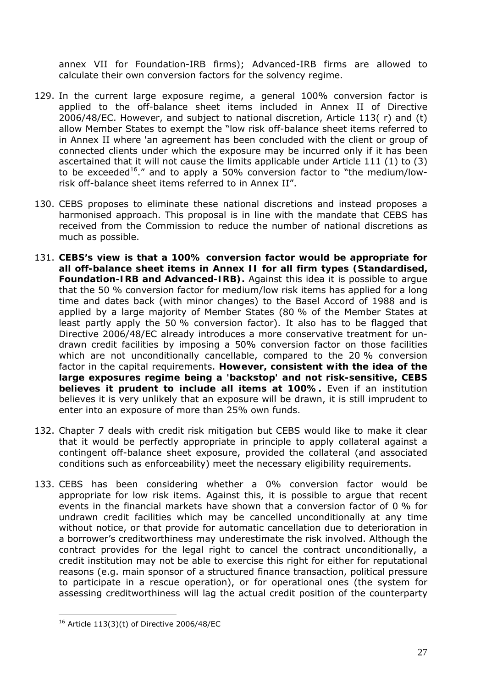annex VII for Foundation-IRB firms); Advanced-IRB firms are allowed to calculate their own conversion factors for the solvency regime.

- 129. In the current large exposure regime, a general 100% conversion factor is applied to the off-balance sheet items included in Annex II of Directive 2006/48/EC. However, and subject to national discretion, Article 113( r) and (t) allow Member States to exempt the "low risk off-balance sheet items referred to in Annex II where 'an agreement has been concluded with the client or group of connected clients under which the exposure may be incurred only if it has been ascertained that it will not cause the limits applicable under Article 111 (1) to (3) to be exceeded<sup>16</sup>." and to apply a 50% conversion factor to "the medium/lowrisk off-balance sheet items referred to in Annex II".
- 130. CEBS proposes to eliminate these national discretions and instead proposes a harmonised approach. This proposal is in line with the mandate that CEBS has received from the Commission to reduce the number of national discretions as much as possible.
- 131. **CEBS's view is that a 100% conversion factor would be appropriate for all off-balance sheet items in Annex II for all firm types (Standardised, Foundation-IRB and Advanced-IRB).** Against this idea it is possible to argue that the 50 % conversion factor for medium/low risk items has applied for a long time and dates back (with minor changes) to the Basel Accord of 1988 and is applied by a large majority of Member States (80 % of the Member States at least partly apply the 50 % conversion factor). It also has to be flagged that Directive 2006/48/EC already introduces a more conservative treatment for undrawn credit facilities by imposing a 50% conversion factor on those facilities which are not unconditionally cancellable, compared to the 20 % conversion factor in the capital requirements. **However, consistent with the idea of the large exposures regime being a 'backstop' and not risk-sensitive, CEBS believes it prudent to include all items at 100%.** Even if an institution believes it is very unlikely that an exposure will be drawn, it is still imprudent to enter into an exposure of more than 25% own funds.
- 132. Chapter 7 deals with credit risk mitigation but CEBS would like to make it clear that it would be perfectly appropriate in principle to apply collateral against a contingent off-balance sheet exposure, provided the collateral (and associated conditions such as enforceability) meet the necessary eligibility requirements.
- 133. CEBS has been considering whether a 0% conversion factor would be appropriate for low risk items. Against this, it is possible to argue that recent events in the financial markets have shown that a conversion factor of 0 % for undrawn credit facilities which may be cancelled unconditionally at any time without notice, or that provide for automatic cancellation due to deterioration in a borrower's creditworthiness may underestimate the risk involved. Although the contract provides for the legal right to cancel the contract unconditionally, a credit institution may not be able to exercise this right for either for reputational reasons (e.g. main sponsor of a structured finance transaction, political pressure to participate in a rescue operation), or for operational ones (the system for assessing creditworthiness will lag the actual credit position of the counterparty

 $\overline{a}$  $16$  Article 113(3)(t) of Directive 2006/48/EC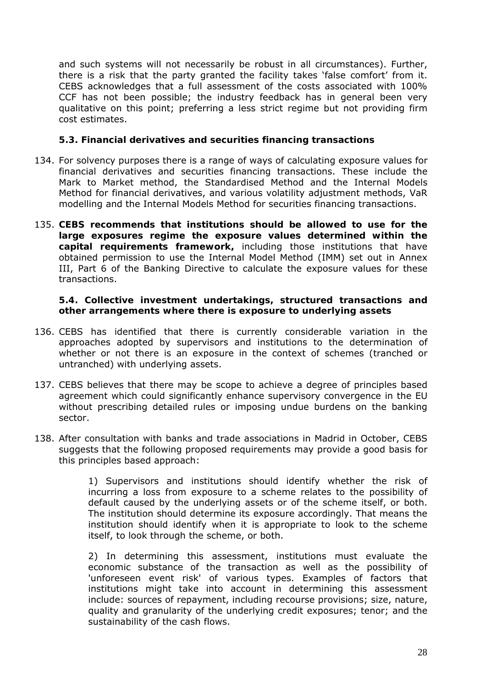and such systems will not necessarily be robust in all circumstances). Further, there is a risk that the party granted the facility takes 'false comfort' from it. CEBS acknowledges that a full assessment of the costs associated with 100% CCF has not been possible; the industry feedback has in general been very qualitative on this point; preferring a less strict regime but not providing firm cost estimates.

### **5.3. Financial derivatives and securities financing transactions**

- 134. For solvency purposes there is a range of ways of calculating exposure values for financial derivatives and securities financing transactions. These include the Mark to Market method, the Standardised Method and the Internal Models Method for financial derivatives, and various volatility adjustment methods, VaR modelling and the Internal Models Method for securities financing transactions.
- 135. **CEBS recommends that institutions should be allowed to use for the large exposures regime the exposure values determined within the capital requirements framework,** including those institutions that have obtained permission to use the Internal Model Method (IMM) set out in Annex III, Part 6 of the Banking Directive to calculate the exposure values for these transactions.

#### **5.4. Collective investment undertakings, structured transactions and other arrangements where there is exposure to underlying assets**

- 136. CEBS has identified that there is currently considerable variation in the approaches adopted by supervisors and institutions to the determination of whether or not there is an exposure in the context of schemes (tranched or untranched) with underlying assets.
- 137. CEBS believes that there may be scope to achieve a degree of principles based agreement which could significantly enhance supervisory convergence in the EU without prescribing detailed rules or imposing undue burdens on the banking sector.
- 138. After consultation with banks and trade associations in Madrid in October, CEBS suggests that the following proposed requirements may provide a good basis for this principles based approach:

1) Supervisors and institutions should identify whether the risk of incurring a loss from exposure to a scheme relates to the possibility of default caused by the underlying assets or of the scheme itself, or both. The institution should determine its exposure accordingly. That means the institution should identify when it is appropriate to look to the scheme itself, to look through the scheme, or both.

2) In determining this assessment, institutions must evaluate the economic substance of the transaction as well as the possibility of 'unforeseen event risk' of various types. Examples of factors that institutions might take into account in determining this assessment include: sources of repayment, including recourse provisions; size, nature, quality and granularity of the underlying credit exposures; tenor; and the sustainability of the cash flows.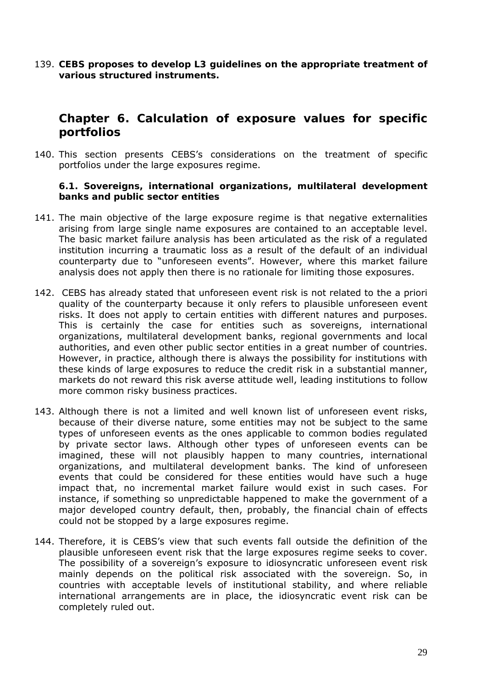139. **CEBS proposes to develop L3 guidelines on the appropriate treatment of various structured instruments.** 

# **Chapter 6. Calculation of exposure values for specific portfolios**

140. This section presents CEBS's considerations on the treatment of specific portfolios under the large exposures regime.

#### **6.1. Sovereigns, international organizations, multilateral development banks and public sector entities**

- 141. The main objective of the large exposure regime is that negative externalities arising from large single name exposures are contained to an acceptable level. The basic market failure analysis has been articulated as the risk of a regulated institution incurring a traumatic loss as a result of the default of an individual counterparty due to "unforeseen events". However, where this market failure analysis does not apply then there is no rationale for limiting those exposures.
- 142. CEBS has already stated that unforeseen event risk is not related to the a priori quality of the counterparty because it only refers to plausible unforeseen event risks. It does not apply to certain entities with different natures and purposes. This is certainly the case for entities such as sovereigns, international organizations, multilateral development banks, regional governments and local authorities, and even other public sector entities in a great number of countries. However, in practice, although there is always the possibility for institutions with these kinds of large exposures to reduce the credit risk in a substantial manner, markets do not reward this risk averse attitude well, leading institutions to follow more common risky business practices.
- 143. Although there is not a limited and well known list of unforeseen event risks, because of their diverse nature, some entities may not be subject to the same types of unforeseen events as the ones applicable to common bodies regulated by private sector laws. Although other types of unforeseen events can be imagined, these will not plausibly happen to many countries, international organizations, and multilateral development banks. The kind of unforeseen events that could be considered for these entities would have such a huge impact that, no incremental market failure would exist in such cases. For instance, if something so unpredictable happened to make the government of a major developed country default, then, probably, the financial chain of effects could not be stopped by a large exposures regime.
- 144. Therefore, it is CEBS's view that such events fall outside the definition of the plausible unforeseen event risk that the large exposures regime seeks to cover. The possibility of a sovereign's exposure to idiosyncratic unforeseen event risk mainly depends on the political risk associated with the sovereign. So, in countries with acceptable levels of institutional stability, and where reliable international arrangements are in place, the idiosyncratic event risk can be completely ruled out.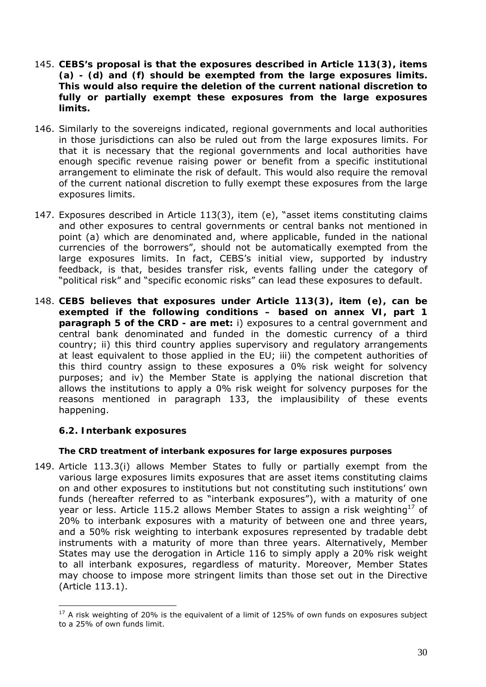- 145. **CEBS's proposal is that the exposures described in Article 113(3), items (a) - (d) and (f) should be exempted from the large exposures limits. This would also require the deletion of the current national discretion to fully or partially exempt these exposures from the large exposures limits.**
- 146. Similarly to the sovereigns indicated, regional governments and local authorities in those jurisdictions can also be ruled out from the large exposures limits. For that it is necessary that the regional governments and local authorities have enough specific revenue raising power or benefit from a specific institutional arrangement to eliminate the risk of default. This would also require the removal of the current national discretion to fully exempt these exposures from the large exposures limits.
- 147. Exposures described in Article 113(3), item (e), "asset items constituting claims and other exposures to central governments or central banks not mentioned in point (a) which are denominated and, where applicable, funded in the national currencies of the borrowers", should not be automatically exempted from the large exposures limits. In fact, CEBS's initial view, supported by industry feedback, is that, besides transfer risk, events falling under the category of "political risk" and "specific economic risks" can lead these exposures to default.
- 148. **CEBS believes that exposures under Article 113(3), item (e), can be exempted if the following conditions – based on annex VI, part 1 paragraph 5 of the CRD - are met:** i) exposures to a central government and central bank denominated and funded in the domestic currency of a third country; ii) this third country applies supervisory and regulatory arrangements at least equivalent to those applied in the EU; iii) the competent authorities of this third country assign to these exposures a 0% risk weight for solvency purposes; and iv) the Member State is applying the national discretion that allows the institutions to apply a 0% risk weight for solvency purposes for the reasons mentioned in paragraph 133, the implausibility of these events happening.

#### **6.2. Interbank exposures**

 $\overline{a}$ 

#### *The CRD treatment of interbank exposures for large exposures purposes*

149. Article 113.3(i) allows Member States to fully or partially exempt from the various large exposures limits exposures that are asset items constituting claims on and other exposures to institutions but not constituting such institutions' own funds (hereafter referred to as "interbank exposures"), with a maturity of one year or less. Article 115.2 allows Member States to assign a risk weighting<sup>17</sup> of 20% to interbank exposures with a maturity of between one and three years, and a 50% risk weighting to interbank exposures represented by tradable debt instruments with a maturity of more than three years. Alternatively, Member States may use the derogation in Article 116 to simply apply a 20% risk weight to all interbank exposures, regardless of maturity. Moreover, Member States may choose to impose more stringent limits than those set out in the Directive (Article 113.1).

<sup>&</sup>lt;sup>17</sup> A risk weighting of 20% is the equivalent of a limit of 125% of own funds on exposures subject to a 25% of own funds limit.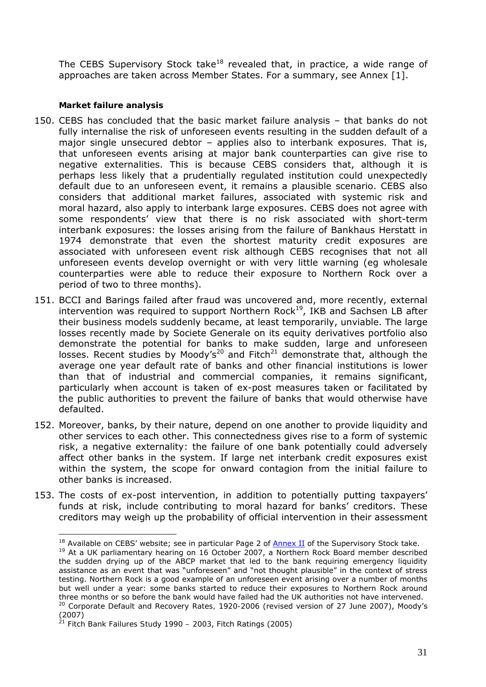The CEBS Supervisory Stock take<sup>18</sup> revealed that, in practice, a wide range of approaches are taken across Member States. For a summary, see Annex [1].

### *Market failure analysis*

- 150. CEBS has concluded that the basic market failure analysis that banks do not fully internalise the risk of unforeseen events resulting in the sudden default of a major single unsecured debtor – applies also to interbank exposures. That is, that unforeseen events arising at major bank counterparties can give rise to negative externalities. This is because CEBS considers that, although it is perhaps less likely that a prudentially regulated institution could unexpectedly default due to an unforeseen event, it remains a plausible scenario. CEBS also considers that additional market failures, associated with systemic risk and moral hazard, also apply to interbank large exposures. CEBS does not agree with some respondents' view that there is no risk associated with short-term interbank exposures: the losses arising from the failure of Bankhaus Herstatt in 1974 demonstrate that even the shortest maturity credit exposures are associated with unforeseen event risk although CEBS recognises that not all unforeseen events develop overnight or with very little warning (eg wholesale counterparties were able to reduce their exposure to Northern Rock over a period of two to three months).
- 151. BCCI and Barings failed after fraud was uncovered and, more recently, external intervention was required to support Northern Rock<sup>19</sup>, IKB and Sachsen LB after their business models suddenly became, at least temporarily, unviable. The large losses recently made by Societe Generale on its equity derivatives portfolio also demonstrate the potential for banks to make sudden, large and unforeseen losses. Recent studies by Moody's<sup>20</sup> and Fitch<sup>21</sup> demonstrate that, although the average one year default rate of banks and other financial institutions is lower than that of industrial and commercial companies, it remains significant, particularly when account is taken of ex-post measures taken or facilitated by the public authorities to prevent the failure of banks that would otherwise have defaulted.
- 152. Moreover, banks, by their nature, depend on one another to provide liquidity and other services to each other. This connectedness gives rise to a form of systemic risk, a negative externality: the failure of one bank potentially could adversely affect other banks in the system. If large net interbank credit exposures exist within the system, the scope for onward contagion from the initial failure to other banks is increased.
- 153. The costs of ex-post intervention, in addition to potentially putting taxpayers' funds at risk, include contributing to moral hazard for banks' creditors. These creditors may weigh up the probability of official intervention in their assessment

 $\overline{a}$  $18$  Available on CEBS' website; see in particular Page 2 of  $\frac{\text{Annex II}}{\text{Annex II}}$  of the Supervisory Stock take.

<sup>&</sup>lt;sup>19</sup> At a UK parliamentary hearing on 16 October 2007, a Northern Rock Board member described the sudden drying up of the ABCP market that led to the bank requiring emergency liquidity assistance as an event that was "unforeseen" and "not thought plausible" in the context of stress testing. Northern Rock is a good example of an unforeseen event arising over a number of months but well under a year: some banks started to reduce their exposures to Northern Rock around three months or so before the bank would have failed had the UK authorities not have intervened. <sup>20</sup> *Corporate Default and Recovery Rates, 1920-2006* (revised version of 27 June 2007), Moody's (2007)

<sup>21</sup> *Fitch Bank Failures Study 1990 – 2003*, Fitch Ratings (2005)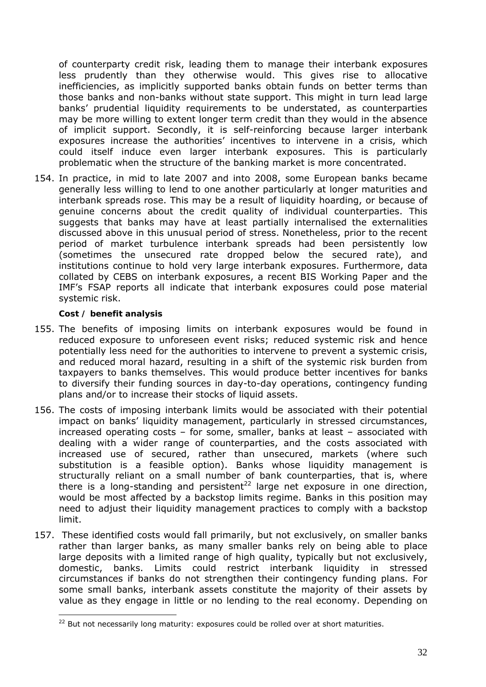of counterparty credit risk, leading them to manage their interbank exposures less prudently than they otherwise would. This gives rise to allocative inefficiencies, as implicitly supported banks obtain funds on better terms than those banks and non-banks without state support. This might in turn lead large banks' prudential liquidity requirements to be understated, as counterparties may be more willing to extent longer term credit than they would in the absence of implicit support. Secondly, it is self-reinforcing because larger interbank exposures increase the authorities' incentives to intervene in a crisis, which could itself induce even larger interbank exposures. This is particularly problematic when the structure of the banking market is more concentrated.

154. In practice, in mid to late 2007 and into 2008, some European banks became generally less willing to lend to one another particularly at longer maturities and interbank spreads rose. This may be a result of liquidity hoarding, or because of genuine concerns about the credit quality of individual counterparties. This suggests that banks may have at least partially internalised the externalities discussed above in this unusual period of stress. Nonetheless, prior to the recent period of market turbulence interbank spreads had been persistently low (sometimes the unsecured rate dropped below the secured rate), and institutions continue to hold very large interbank exposures. Furthermore, data collated by CEBS on interbank exposures, a recent BIS Working Paper and the IMF's FSAP reports all indicate that interbank exposures could pose material systemic risk.

#### *Cost / benefit analysis*

- 155. The benefits of imposing limits on interbank exposures would be found in reduced exposure to unforeseen *event* risks; reduced systemic risk and hence potentially less need for the authorities to intervene to prevent a systemic crisis, and reduced moral hazard, resulting in a shift of the systemic risk burden from taxpayers to banks themselves. This would produce better incentives for banks to diversify their funding sources in day-to-day operations, contingency funding plans and/or to increase their stocks of liquid assets.
- 156. The costs of imposing interbank limits *would be* associated with their potential impact on banks' liquidity management, particularly in stressed circumstances, increased operating costs – for some, smaller, banks at least – associated with dealing with a wider range of counterparties, and the costs associated with increased use of secured, rather than unsecured, markets (where such substitution is a feasible option). Banks whose liquidity management is *structurally* reliant on a small number of bank counterparties, that is, where there is a long-standing and persistent<sup>22</sup> large net exposure in one direction, would be most affected by a backstop limits regime. Banks in this position may need to adjust their liquidity management practices to comply with a backstop limit.
- 157. These identified costs would fall primarily, but not exclusively, on smaller banks rather than larger banks, as many smaller banks rely on being able to place large deposits with a limited range of high quality, typically but not exclusively, domestic, banks. Limits could restrict interbank liquidity in stressed circumstances if banks do not strengthen their contingency funding plans. For some small banks, interbank assets constitute the majority of their assets by value as they engage in little or no lending to the real economy. Depending on

 $22$  But not necessarily long maturity: exposures could be rolled over at short maturities.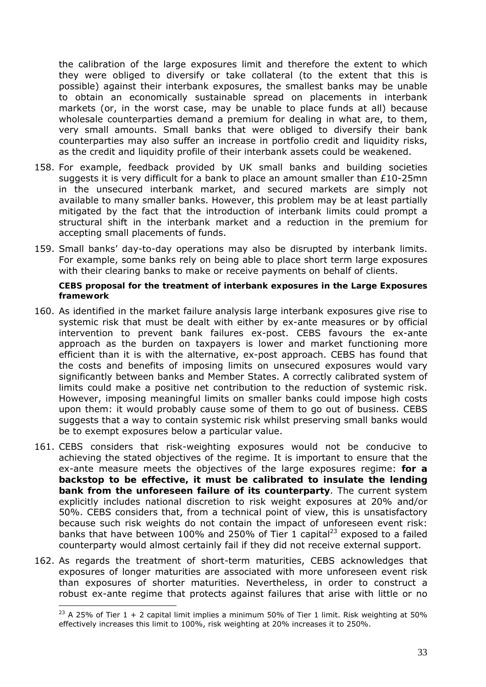the calibration of the large exposures limit and therefore the extent to which they were obliged to diversify or take collateral (to the extent that this is possible) against their interbank exposures, the smallest banks may be unable to obtain an economically sustainable spread on placements in interbank markets (or, in the worst case, may be unable to place funds at all) because wholesale counterparties demand a premium for dealing in what are, to them, very small amounts. Small banks that were obliged to diversify their bank counterparties may also suffer an increase in portfolio credit and liquidity risks, as the credit and liquidity profile of their interbank assets could be weakened.

- 158. For example, feedback provided by UK small banks and building societies suggests it is very difficult for a bank to place an amount smaller than  $£10-25mn$ in the unsecured interbank market, and secured markets are simply not available to many smaller banks. However, this problem may be at least partially mitigated by the fact that the introduction of interbank limits could prompt a structural shift in the interbank market and a reduction in the premium for accepting small placements of funds.
- 159. Small banks' day-to-day operations may also be disrupted by interbank limits. For example, some banks rely on being able to place short term large exposures with their clearing banks to make or receive payments on behalf of clients.

#### *CEBS proposal for the treatment of interbank exposures in the Large Exposures framework*

- 160. As identified in the market failure analysis large interbank exposures give rise to systemic risk that must be dealt with either by ex-ante measures or by official intervention to prevent bank failures ex-post. CEBS favours the ex-ante approach as the burden on taxpayers is lower and market functioning more efficient than it is with the alternative, ex-post approach. CEBS has found that the costs and benefits of imposing limits on unsecured exposures would vary significantly between banks and Member States. A correctly calibrated system of limits could make a positive net contribution to the reduction of systemic risk. However, imposing meaningful limits on smaller banks could impose high costs upon them: it would probably cause some of them to go out of business. CEBS suggests that a way to contain systemic risk whilst preserving small banks would be to exempt exposures below a particular value.
- 161. CEBS considers that risk-weighting exposures would not be conducive to achieving the stated objectives of the regime. It is important to ensure that the ex-ante measure meets the objectives of the large exposures regime: **for a backstop to be effective, it must be calibrated to insulate the lending bank from the unforeseen failure of its counterparty**. The current system explicitly includes national discretion to risk weight exposures at 20% and/or 50%. CEBS considers that, from a technical point of view, this is unsatisfactory because such risk weights do not contain the impact of unforeseen event risk: banks that have between 100% and 250% of Tier 1 capital<sup>23</sup> exposed to a failed counterparty would almost certainly fail if they did not receive external support.
- 162. As regards the treatment of short-term maturities, CEBS acknowledges that exposures of longer maturities are associated with more unforeseen event risk than exposures of shorter maturities. Nevertheless, in order to construct a robust ex-ante regime that protects against failures that arise with little or no

<sup>&</sup>lt;sup>23</sup> A 25% of Tier 1 + 2 capital limit implies a minimum 50% of Tier 1 limit. Risk weighting at 50% effectively increases this limit to 100%, risk weighting at 20% increases it to 250%.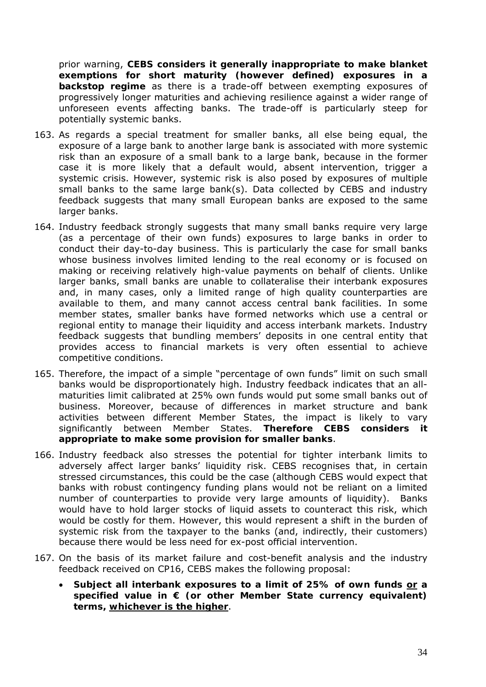prior warning, **CEBS considers it generally inappropriate to make blanket exemptions for short maturity (however defined) exposures in a backstop regime** as there is a trade-off between exempting exposures of progressively longer maturities and achieving resilience against a wider range of unforeseen events affecting banks. The trade-off is particularly steep for potentially systemic banks.

- 163. As regards a special treatment for smaller banks, all else being equal, the exposure of a large bank to another large bank is associated with more systemic risk than an exposure of a small bank to a large bank, because in the former case it is more likely that a default would, absent intervention, trigger a systemic crisis. However, systemic risk is also posed by exposures of multiple small banks to the same large bank(s). Data collected by CEBS and industry feedback suggests that many small European banks are exposed to the same larger banks.
- 164. Industry feedback strongly suggests that many small banks require very large (as a percentage of their own funds) exposures to large banks in order to conduct their day-to-day business. This is particularly the case for small banks whose business involves limited lending to the real economy or is focused on making or receiving relatively high-value payments on behalf of clients. Unlike larger banks, small banks are unable to collateralise their interbank exposures and, in many cases, only a limited range of high quality counterparties are available to them, and many cannot access central bank facilities. In some member states, smaller banks have formed networks which use a central or regional entity to manage their liquidity and access interbank markets. Industry feedback suggests that bundling members' deposits in one central entity that provides access to financial markets is very often essential to achieve competitive conditions.
- 165. Therefore, the impact of a simple "percentage of own funds" limit on such small banks would be disproportionately high. Industry feedback indicates that an allmaturities limit calibrated at 25% own funds would put some small banks out of business. Moreover, because of differences in market structure and bank activities between different Member States, the impact is likely to vary significantly between Member States. **Therefore CEBS considers it appropriate to make some provision for smaller banks**.
- 166. Industry feedback also stresses the potential for tighter interbank limits to adversely affect larger banks' liquidity risk. CEBS recognises that, in certain stressed circumstances, this could be the case (although CEBS would expect that banks with robust contingency funding plans would not be reliant on a limited number of counterparties to provide very large amounts of liquidity). Banks would have to hold larger stocks of liquid assets to counteract this risk, which would be costly for them. However, this would represent a shift in the burden of systemic risk from the taxpayer to the banks (and, indirectly, their customers) because there would be less need for ex-post official intervention.
- 167. On the basis of its market failure and cost-benefit analysis and the industry feedback received on CP16, CEBS makes the following proposal:
	- **Subject all interbank exposures to a limit of 25% of own funds or a specified value in € (or other Member State currency equivalent) terms, whichever is the higher**.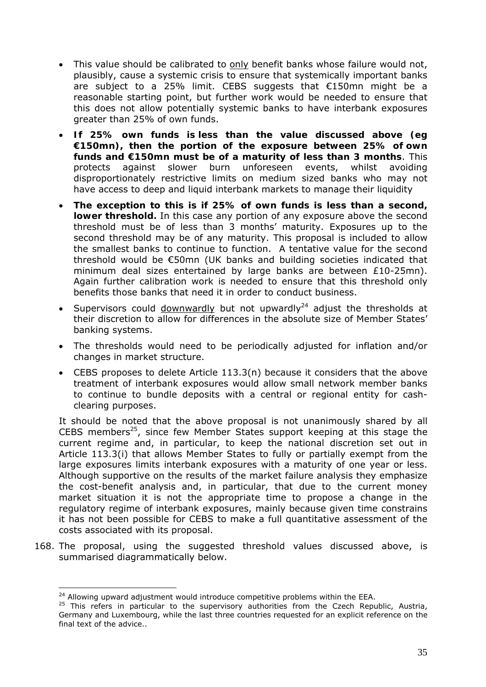- This value should be calibrated to only benefit banks whose failure would not, plausibly, cause a systemic crisis to ensure that systemically important banks are subject to a 25% limit. CEBS suggests that €150mn might be a reasonable starting point, but further work would be needed to ensure that this does not allow potentially systemic banks to have interbank exposures greater than 25% of own funds.
- **If 25% own funds is less than the value discussed above (eg €150mn), then the portion of the exposure between 25% of own funds and €150mn must be of a maturity of less than 3 months**. This protects against slower burn unforeseen events, whilst avoiding disproportionately restrictive limits on medium sized banks who may not have access to deep and liquid interbank markets to manage their liquidity
- **The exception to this is if 25% of own funds is less than a second, lower threshold.** In this case any portion of any exposure above the second threshold must be of less than 3 months' maturity. Exposures up to the second threshold may be of any maturity. This proposal is included to allow the smallest banks to continue to function. A tentative value for the second threshold would be €50mn (UK banks and building societies indicated that minimum deal sizes entertained by large banks are between £10-25mn). Again further calibration work is needed to ensure that this threshold only benefits those banks that need it in order to conduct business.
- Supervisors could downwardly but not upwardly<sup>24</sup> adjust the thresholds at their discretion to allow for differences in the absolute size of Member States' banking systems.
- The thresholds would need to be periodically adjusted for inflation and/or changes in market structure.
- CEBS proposes to delete Article  $113.3(n)$  because it considers that the above treatment of interbank exposures would allow small network member banks to continue to bundle deposits with a central or regional entity for cashclearing purposes.

It should be noted that the above proposal is not unanimously shared by all CEBS members<sup>25</sup>, since few Member States support keeping at this stage the current regime and, in particular, to keep the national discretion set out in Article 113.3(i) that allows Member States to fully or partially exempt from the large exposures limits interbank exposures with a maturity of one year or less. Although supportive on the results of the market failure analysis they emphasize the cost-benefit analysis and, in particular, that due to the current money market situation it is not the appropriate time to propose a change in the regulatory regime of interbank exposures, mainly because given time constrains it has not been possible for CEBS to make a full quantitative assessment of the costs associated with its proposal.

168. The proposal, using the suggested threshold values discussed above, is summarised diagrammatically below.

 $\overline{a}$ <sup>24</sup> Allowing upward adjustment would introduce competitive problems within the EEA.

<sup>&</sup>lt;sup>25</sup> This refers in particular to the supervisory authorities from the Czech Republic, Austria, Germany and Luxembourg, while the last three countries requested for an explicit reference on the final text of the advice..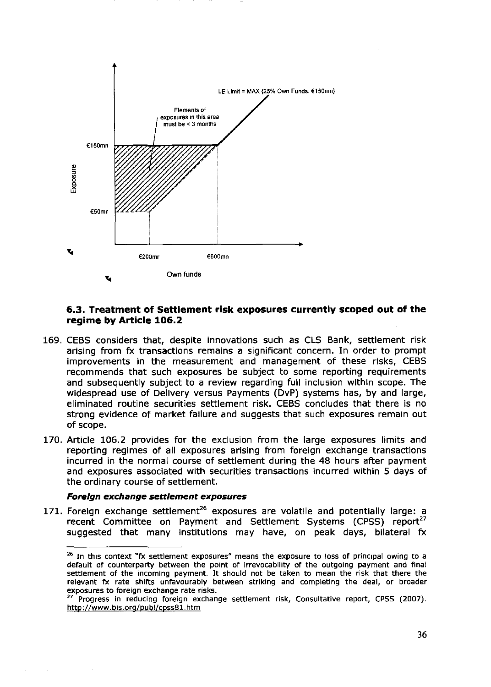

#### 6.3. Treatment of Settlement risk exposures currently scoped out of the regime by Article 106.2

- 169. CEBS considers that, despite innovations such as CLS Bank, settlement risk arising from fx transactions remains a significant concern. In order to prompt improvements in the measurement and management of these risks, CEBS recommends that such exposures be subject to some reporting requirements and subsequently subject to a review regarding full inclusion within scope. The widespread use of Delivery versus Payments (DvP) systems has, by and large, eliminated routine securities settlement risk. CEBS concludes that there is no strong evidence of market failure and suggests that such exposures remain out of scope.
- 170. Article 106.2 provides for the exclusion from the large exposures limits and reporting regimes of all exposures arising from foreign exchange transactions incurred in the normal course of settlement during the 48 hours after payment and exposures associated with securities transactions incurred within 5 days of the ordinary course of settlement.

#### Foreign exchange settlement exposures

171. Foreign exchange settlement<sup>26</sup> exposures are volatile and potentially large: a recent Committee on Payment and Settlement Systems (CPSS) report<sup>27</sup> suggested that many institutions may have, on peak days, bilateral fx

<sup>&</sup>lt;sup>26</sup> In this context "fx settlement exposures" means the exposure to loss of principal owing to a default of counterparty between the point of irrevocability of the outgoing payment and final settlement of the incoming payment. It should not be taken to mean the risk that there the relevant fx rate shifts unfavourably between striking and completing the deal, or broader exposures to foreign exchange rate risks.

<sup>&</sup>lt;sup>27</sup> Progress in reducing foreign exchange settlement risk, Consultative report, CPSS (2007). http://www.bis.org/publ/cpss81.htm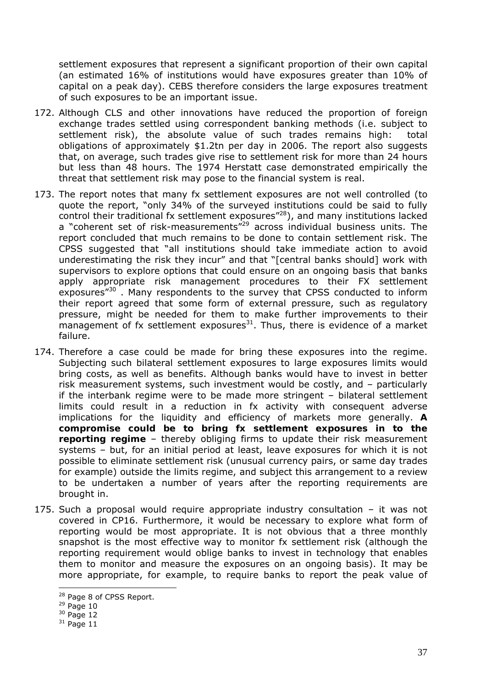settlement exposures that represent a significant proportion of their own capital (an estimated 16% of institutions would have exposures greater than 10% of capital on a peak day). CEBS therefore considers the large exposures treatment of such exposures to be an important issue.

- 172. Although CLS and other innovations have reduced the proportion of foreign exchange trades settled using correspondent banking methods (i.e. subject to settlement risk), the absolute value of such trades remains high: total obligations of approximately \$1.2tn per day in 2006. The report also suggests that, on average, such trades give rise to settlement risk for more than 24 hours but less than 48 hours. The 1974 Herstatt case demonstrated empirically the threat that settlement risk may pose to the financial system is real.
- 173. The report notes that many fx settlement exposures are not well controlled (to quote the report, "only 34% of the surveyed institutions could be said to fully control their traditional fx settlement exposures<sup>"28</sup>), and many institutions lacked a "coherent set of risk-measurements"<sup>29</sup> across individual business units. The report concluded that much remains to be done to contain settlement risk. The CPSS suggested that "all institutions should take immediate action to avoid underestimating the risk they incur" and that "[central banks should] work with supervisors to explore options that could ensure on an ongoing basis that banks apply appropriate risk management procedures to their FX settlement exposures<sup>"30</sup>. Many respondents to the survey that CPSS conducted to inform their report agreed that some form of external pressure, such as regulatory pressure, might be needed for them to make further improvements to their management of fx settlement exposures $^{31}$ . Thus, there is evidence of a market failure.
- 174. Therefore a case could be made for bring these exposures into the regime. Subjecting such bilateral settlement exposures to large exposures limits would bring costs, as well as benefits. Although banks would have to invest in better risk measurement systems, such investment would be costly, and – particularly if the interbank regime were to be made more stringent – bilateral settlement limits could result in a reduction in fx activity with consequent adverse implications for the liquidity and efficiency of markets more generally. **A compromise could be to bring fx settlement exposures in to the reporting regime** – thereby obliging firms to update their risk measurement systems – but, for an initial period at least, leave exposures for which it is not possible to eliminate settlement risk (unusual currency pairs, or same day trades for example) outside the limits regime, and subject this arrangement to a review to be undertaken a number of years after the reporting requirements are brought in.
- 175. Such a proposal would require appropriate industry consultation it was not covered in CP16. Furthermore, it would be necessary to explore what form of reporting would be most appropriate. It is not obvious that a three monthly snapshot is the most effective way to monitor fx settlement risk (although the reporting requirement would oblige banks to invest in technology that enables them to monitor and measure the exposures on an ongoing basis). It may be more appropriate, for example, to require banks to report the peak value of

<sup>&</sup>lt;sup>28</sup> Page 8 of CPSS Report.

 $29$  Page 10

<sup>30</sup> Page 12

 $31$  Page 11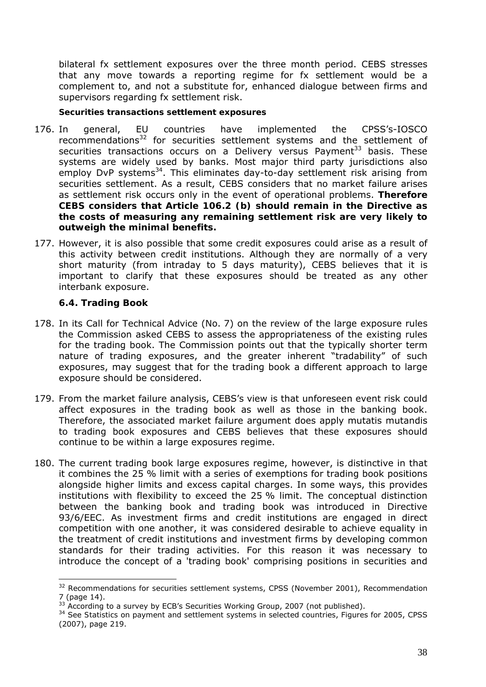bilateral fx settlement exposures over the three month period. CEBS stresses that any move towards a reporting regime for fx settlement would be a complement to, and not a substitute for, enhanced dialogue between firms and supervisors regarding fx settlement risk.

#### *Securities transactions settlement exposures*

- 176. In general, EU countries have implemented the CPSS's-IOSCO recommendations<sup>32</sup> for securities settlement systems and the settlement of securities transactions occurs on a Delivery versus Payment $33$  basis. These systems are widely used by banks. Most major third party jurisdictions also employ DvP systems<sup>34</sup>. This eliminates day-to-day settlement risk arising from securities settlement. As a result, CEBS considers that no market failure arises as settlement risk occurs only in the event of operational problems. **Therefore CEBS considers that Article 106.2 (b) should remain in the Directive as the costs of measuring any remaining settlement risk are very likely to outweigh the minimal benefits.**
- 177. However, it is also possible that some credit exposures could arise as a result of this activity between credit institutions. Although they are normally of a very short maturity (from intraday to 5 days maturity), CEBS believes that it is important to clarify that these exposures should be treated as any other interbank exposure.

# **6.4. Trading Book**

- 178. In its Call for Technical Advice (No. 7) on the review of the large exposure rules the Commission asked CEBS to assess the appropriateness of the existing rules for the trading book. The Commission points out that the typically shorter term nature of trading exposures, and the greater inherent "tradability" of such exposures, may suggest that for the trading book a different approach to large exposure should be considered.
- 179. From the market failure analysis, CEBS's view is that unforeseen event risk could affect exposures in the trading book as well as those in the banking book. Therefore, the associated market failure argument does apply mutatis mutandis to trading book exposures and CEBS believes that these exposures should continue to be within a large exposures regime.
- 180. The current trading book large exposures regime, however, is distinctive in that it combines the 25 % limit with a series of exemptions for trading book positions alongside higher limits and excess capital charges. In some ways, this provides institutions with flexibility to exceed the 25 % limit. The conceptual distinction between the banking book and trading book was introduced in Directive 93/6/EEC. As investment firms and credit institutions are engaged in direct competition with one another, it was considered desirable to achieve equality in the treatment of credit institutions and investment firms by developing common standards for their trading activities. For this reason it was necessary to introduce the concept of a 'trading book' comprising positions in securities and

<sup>&</sup>lt;sup>32</sup> *Recommendations for securities settlement systems*, CPSS (November 2001), Recommendation 7 (page 14).

<sup>&</sup>lt;sup>33</sup> According to a survey by ECB's Securities Working Group, 2007 (not published).

<sup>34</sup> See *Statistics on payment and settlement systems in selected countries*, Figures for 2005, CPSS (2007), page 219.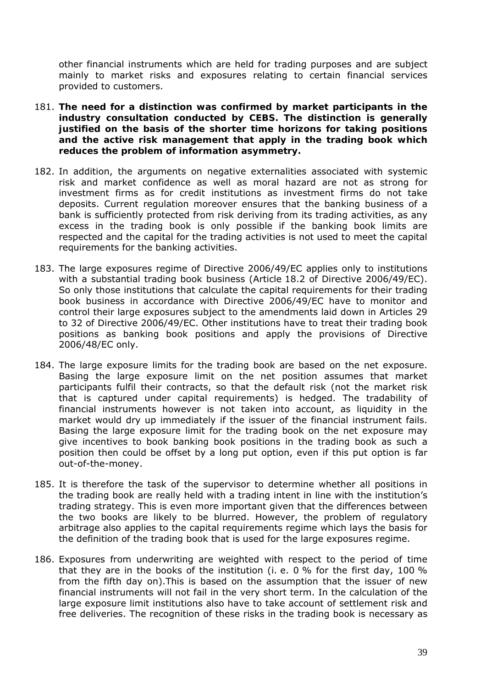other financial instruments which are held for trading purposes and are subject mainly to market risks and exposures relating to certain financial services provided to customers.

- 181. **The need for a distinction was confirmed by market participants in the industry consultation conducted by CEBS. The distinction is generally justified on the basis of the shorter time horizons for taking positions and the active risk management that apply in the trading book which reduces the problem of information asymmetry.**
- 182. In addition, the arguments on negative externalities associated with systemic risk and market confidence as well as moral hazard are not as strong for investment firms as for credit institutions as investment firms do not take deposits. Current regulation moreover ensures that the banking business of a bank is sufficiently protected from risk deriving from its trading activities, as any excess in the trading book is only possible if the banking book limits are respected and the capital for the trading activities is not used to meet the capital requirements for the banking activities.
- 183. The large exposures regime of Directive 2006/49/EC applies only to institutions with a substantial trading book business (Article 18.2 of Directive 2006/49/EC). So only those institutions that calculate the capital requirements for their trading book business in accordance with Directive 2006/49/EC have to monitor and control their large exposures subject to the amendments laid down in Articles 29 to 32 of Directive 2006/49/EC. Other institutions have to treat their trading book positions as banking book positions and apply the provisions of Directive 2006/48/EC only.
- 184. The large exposure limits for the trading book are based on the net exposure. Basing the large exposure limit on the net position assumes that market participants fulfil their contracts, so that the default risk (not the market risk that is captured under capital requirements) is hedged. The tradability of financial instruments however is not taken into account, as liquidity in the market would dry up immediately if the issuer of the financial instrument fails. Basing the large exposure limit for the trading book on the net exposure may give incentives to book banking book positions in the trading book as such a position then could be offset by a long put option, even if this put option is far out-of-the-money.
- 185. It is therefore the task of the supervisor to determine whether all positions in the trading book are really held with a trading intent in line with the institution's trading strategy. This is even more important given that the differences between the two books are likely to be blurred. However, the problem of regulatory arbitrage also applies to the capital requirements regime which lays the basis for the definition of the trading book that is used for the large exposures regime.
- 186. Exposures from underwriting are weighted with respect to the period of time that they are in the books of the institution (i. e. 0 % for the first day, 100 % from the fifth day on).This is based on the assumption that the issuer of new financial instruments will not fail in the very short term. In the calculation of the large exposure limit institutions also have to take account of settlement risk and free deliveries. The recognition of these risks in the trading book is necessary as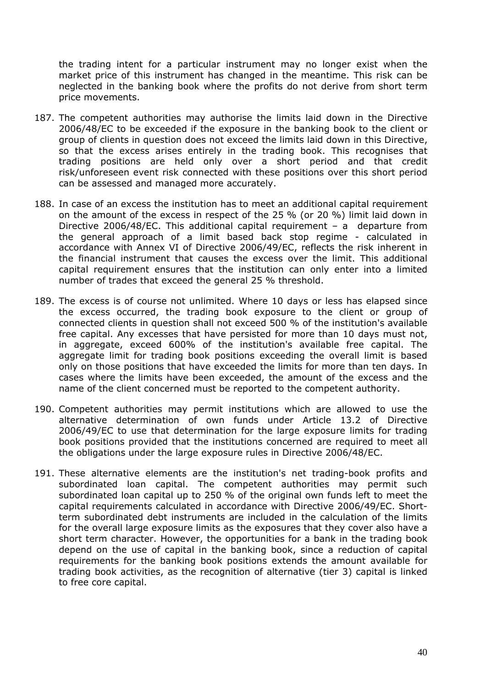the trading intent for a particular instrument may no longer exist when the market price of this instrument has changed in the meantime. This risk can be neglected in the banking book where the profits do not derive from short term price movements.

- 187. The competent authorities may authorise the limits laid down in the Directive 2006/48/EC to be exceeded if the exposure in the banking book to the client or group of clients in question does not exceed the limits laid down in this Directive, so that the excess arises entirely in the trading book. This recognises that trading positions are held only over a short period and that credit risk/unforeseen event risk connected with these positions over this short period can be assessed and managed more accurately.
- 188. In case of an excess the institution has to meet an additional capital requirement on the amount of the excess in respect of the 25 % (or 20 %) limit laid down in Directive 2006/48/EC. This additional capital requirement – a departure from the general approach of a limit based back stop regime - calculated in accordance with Annex VI of Directive 2006/49/EC, reflects the risk inherent in the financial instrument that causes the excess over the limit. This additional capital requirement ensures that the institution can only enter into a limited number of trades that exceed the general 25 % threshold.
- 189. The excess is of course not unlimited. Where 10 days or less has elapsed since the excess occurred, the trading book exposure to the client or group of connected clients in question shall not exceed 500 % of the institution's available free capital. Any excesses that have persisted for more than 10 days must not, in aggregate, exceed 600% of the institution's available free capital. The aggregate limit for trading book positions exceeding the overall limit is based only on those positions that have exceeded the limits for more than ten days. In cases where the limits have been exceeded, the amount of the excess and the name of the client concerned must be reported to the competent authority.
- 190. Competent authorities may permit institutions which are allowed to use the alternative determination of own funds under Article 13.2 of Directive 2006/49/EC to use that determination for the large exposure limits for trading book positions provided that the institutions concerned are required to meet all the obligations under the large exposure rules in Directive 2006/48/EC.
- 191. These alternative elements are the institution's net trading-book profits and subordinated loan capital. The competent authorities may permit such subordinated loan capital up to 250 % of the original own funds left to meet the capital requirements calculated in accordance with Directive 2006/49/EC. Shortterm subordinated debt instruments are included in the calculation of the limits for the overall large exposure limits as the exposures that they cover also have a short term character. However, the opportunities for a bank in the trading book depend on the use of capital in the banking book, since a reduction of capital requirements for the banking book positions extends the amount available for trading book activities, as the recognition of alternative (tier 3) capital is linked to free core capital.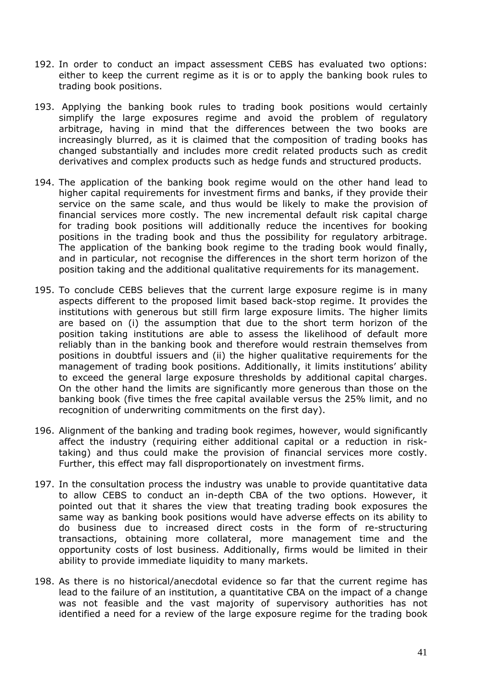- 192. In order to conduct an impact assessment CEBS has evaluated two options: either to keep the current regime as it is or to apply the banking book rules to trading book positions.
- 193. Applying the banking book rules to trading book positions would certainly simplify the large exposures regime and avoid the problem of regulatory arbitrage, having in mind that the differences between the two books are increasingly blurred, as it is claimed that the composition of trading books has changed substantially and includes more credit related products such as credit derivatives and complex products such as hedge funds and structured products.
- 194. The application of the banking book regime would on the other hand lead to higher capital requirements for investment firms and banks, if they provide their service on the same scale, and thus would be likely to make the provision of financial services more costly. The new incremental default risk capital charge for trading book positions will additionally reduce the incentives for booking positions in the trading book and thus the possibility for regulatory arbitrage. The application of the banking book regime to the trading book would finally, and in particular, not recognise the differences in the short term horizon of the position taking and the additional qualitative requirements for its management.
- 195. To conclude CEBS believes that the current large exposure regime is in many aspects different to the proposed limit based back-stop regime. It provides the institutions with generous but still firm large exposure limits. The higher limits are based on (i) the assumption that due to the short term horizon of the position taking institutions are able to assess the likelihood of default more reliably than in the banking book and therefore would restrain themselves from positions in doubtful issuers and (ii) the higher qualitative requirements for the management of trading book positions. Additionally, it limits institutions' ability to exceed the general large exposure thresholds by additional capital charges. On the other hand the limits are significantly more generous than those on the banking book (five times the free capital available versus the 25% limit, and no recognition of underwriting commitments on the first day).
- 196. Alignment of the banking and trading book regimes, however, would significantly affect the industry (requiring either additional capital or a reduction in risktaking) and thus could make the provision of financial services more costly. Further, this effect may fall disproportionately on investment firms.
- 197. In the consultation process the industry was unable to provide quantitative data to allow CEBS to conduct an in-depth CBA of the two options. However, it pointed out that it shares the view that treating trading book exposures the same way as banking book positions would have adverse effects on its ability to do business due to increased direct costs in the form of re-structuring transactions, obtaining more collateral, more management time and the opportunity costs of lost business. Additionally, firms would be limited in their ability to provide immediate liquidity to many markets.
- 198. As there is no historical/anecdotal evidence so far that the current regime has lead to the failure of an institution, a quantitative CBA on the impact of a change was not feasible and the vast majority of supervisory authorities has not identified a need for a review of the large exposure regime for the trading book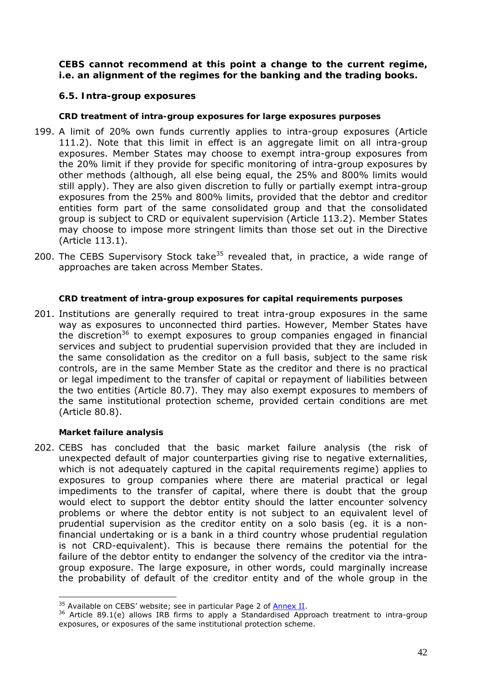### **CEBS cannot recommend at this point a change to the current regime, i.e. an alignment of the regimes for the banking and the trading books.**

## **6.5. Intra-group exposures**

#### *CRD treatment of intra-group exposures for large exposures purposes*

- 199. A limit of 20% own funds currently applies to intra-group exposures (Article 111.2). Note that this limit in effect is an aggregate limit on all intra-group exposures. Member States may choose to exempt intra-group exposures from the 20% limit if they provide for specific monitoring of intra-group exposures by other methods (although, all else being equal, the 25% and 800% limits would still apply). They are also given discretion to fully or partially exempt intra-group exposures from the 25% and 800% limits, provided that the debtor and creditor entities form part of the same consolidated group and that the consolidated group is subject to CRD or equivalent supervision (Article 113.2). Member States may choose to impose more stringent limits than those set out in the Directive (Article 113.1).
- 200. The CEBS Supervisory Stock take<sup>35</sup> revealed that, in practice, a wide range of approaches are taken across Member States.

#### *CRD treatment of intra-group exposures for capital requirements purposes*

201. Institutions are generally required to treat intra-group exposures in the same way as exposures to unconnected third parties. However, Member States have the discretion<sup>36</sup> to exempt exposures to group companies engaged in financial services and subject to prudential supervision provided that they are included in the same consolidation as the creditor on a full basis, subject to the same risk controls, are in the same Member State as the creditor and there is no practical or legal impediment to the transfer of capital or repayment of liabilities between the two entities (Article 80.7). They may also exempt exposures to members of the same institutional protection scheme, provided certain conditions are met (Article 80.8).

#### *Market failure analysis*

 $\overline{a}$ 

202. CEBS has concluded that the basic market failure analysis (the risk of unexpected default of major counterparties giving rise to negative externalities, which is not adequately captured in the capital requirements regime) applies to exposures to group companies where there are material practical or legal impediments to the transfer of capital, where there is doubt that the group would elect to support the debtor entity should the latter encounter solvency problems or where the debtor entity is not subject to an equivalent level of prudential supervision as the creditor entity on a solo basis (eg. it is a nonfinancial undertaking or is a bank in a third country whose prudential regulation is not CRD-equivalent). This is because there remains the potential for the failure of the debtor entity to endanger the solvency of the creditor via the intragroup exposure. The large exposure, in other words, could marginally increase the probability of default of the creditor entity and of the whole group in the

<sup>&</sup>lt;sup>35</sup> Available on CEBS' website; see in particular Page 2 of  $\frac{\text{Annex II}}{\text{Annex II}}$ .<br><sup>36</sup> Article 89.1(e) allows IRB firms to apply a Standardised Approach treatment to intra-group exposures, or exposures of the same institutional protection scheme.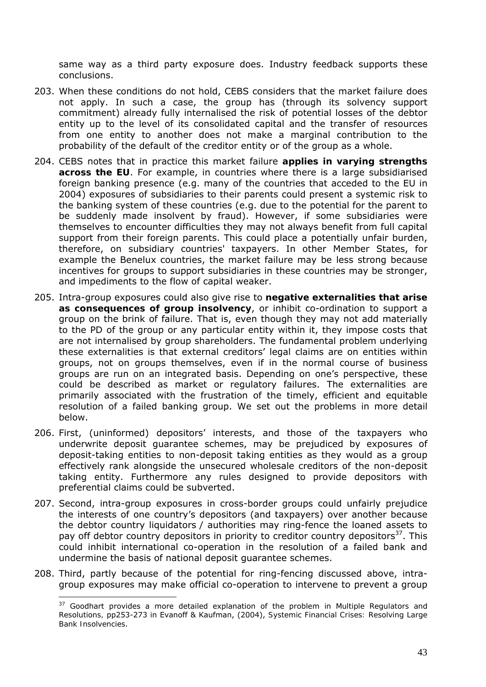same way as a third party exposure does. Industry feedback supports these conclusions.

- 203. When these conditions do not hold, CEBS considers that the market failure does not apply. In such a case, the group has (through its solvency support commitment) already fully internalised the risk of potential losses of the debtor entity up to the level of its consolidated capital and the transfer of resources from one entity to another does not make a marginal contribution to the probability of the default of the creditor entity or of the group as a whole.
- 204. CEBS notes that in practice this market failure **applies in varying strengths across the EU**. For example, in countries where there is a large subsidiarised foreign banking presence (e.g. many of the countries that acceded to the EU in 2004) exposures of subsidiaries to their parents could present a systemic risk to the banking system of these countries (e.g. due to the potential for the parent to be suddenly made insolvent by fraud). However, if some subsidiaries were themselves to encounter difficulties they may not always benefit from full capital support from their foreign parents. This could place a potentially unfair burden, therefore, on subsidiary countries' taxpayers. In other Member States, for example the Benelux countries, the market failure may be less strong because incentives for groups to support subsidiaries in these countries may be stronger, and impediments to the flow of capital weaker.
- 205. Intra-group exposures could also give rise to **negative externalities that arise as consequences of group insolvency**, or inhibit co-ordination to support a group on the brink of failure. That is, even though they may not add materially to the PD of the group or any particular entity within it, they impose costs that are not internalised by group shareholders. The fundamental problem underlying these externalities is that external creditors' legal claims are on entities within groups, not on groups themselves, even if in the normal course of business groups are run on an integrated basis. Depending on one's perspective, these could be described as market or regulatory failures. The externalities are primarily associated with the frustration of the timely, efficient and equitable resolution of a failed banking group. We set out the problems in more detail below.
- 206. First, (uninformed) depositors' interests, and those of the taxpayers who underwrite deposit guarantee schemes, may be prejudiced by exposures of deposit-taking entities to non-deposit taking entities as they would as a group effectively rank alongside the unsecured wholesale creditors of the non-deposit taking entity. Furthermore any rules designed to provide depositors with preferential claims could be subverted.
- 207. Second, intra-group exposures in cross-border groups could unfairly prejudice the interests of one country's depositors (and taxpayers) over another because the debtor country liquidators / authorities may ring-fence the loaned assets to pay off debtor country depositors in priority to creditor country depositors $37$ . This could inhibit international co-operation in the resolution of a failed bank and undermine the basis of national deposit guarantee schemes.
- 208. Third, partly because of the potential for ring-fencing discussed above, intragroup exposures may make official co-operation to intervene to prevent a group

<sup>37</sup> Goodhart provides a more detailed explanation of the problem in *Multiple Regulators and Resolutions,* pp253-273 in Evanoff & Kaufman, (2004), *Systemic Financial Crises: Resolving Large Bank Insolvencies*.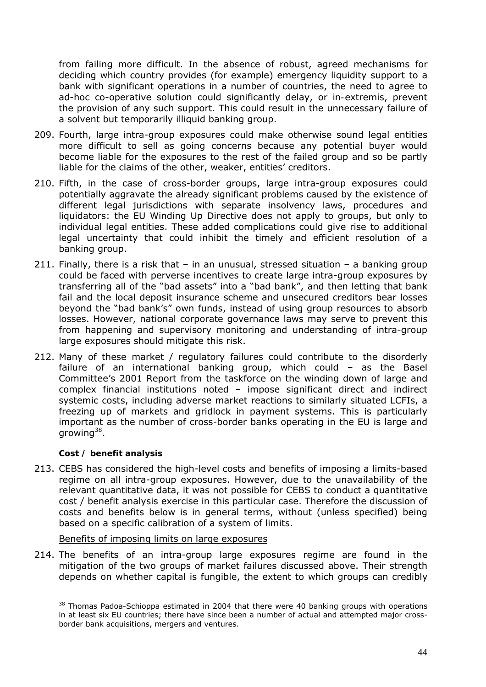from failing more difficult. In the absence of robust, agreed mechanisms for deciding which country provides (for example) emergency liquidity support to a bank with significant operations in a number of countries, the need to agree to ad-hoc co-operative solution could significantly delay, or *in-extremis*, prevent the provision of any such support. This could result in the unnecessary failure of a solvent but temporarily illiquid banking group.

- 209. Fourth, large intra-group exposures could make otherwise sound legal entities more difficult to sell as going concerns because any potential buyer would become liable for the exposures to the rest of the failed group and so be partly liable for the claims of the other, weaker, entities' creditors.
- 210. Fifth, in the case of cross-border groups, large intra-group exposures could potentially aggravate the already significant problems caused by the existence of different legal jurisdictions with separate insolvency laws, procedures and liquidators: the EU Winding Up Directive does not apply to groups, but only to individual legal entities. These added complications could give rise to additional legal uncertainty that could inhibit the timely and efficient resolution of a banking group.
- 211. Finally, there is a risk that in an unusual, stressed situation a banking group could be faced with perverse incentives to create large intra-group exposures by transferring all of the "bad assets" into a "bad bank", and then letting that bank fail and the local deposit insurance scheme and unsecured creditors bear losses beyond the "bad bank's" own funds, instead of using group resources to absorb losses. However, national corporate governance laws may serve to prevent this from happening and supervisory monitoring and understanding of intra-group large exposures should mitigate this risk.
- 212. Many of these market / regulatory failures could contribute to the disorderly failure of an international banking group, which could – as the Basel Committee's 2001 *Report from the taskforce on the winding down of large and complex financial institutions* noted – impose significant direct and indirect systemic costs, including adverse market reactions to similarly situated LCFIs, a freezing up of markets and gridlock in payment systems. This is particularly important as the number of cross-border banks operating in the EU is large and arowing $38$ .

#### *Cost / benefit analysis*

 $\overline{a}$ 

213. CEBS has considered the high-level costs and benefits of imposing a limits-based regime on all intra-group exposures. However, due to the unavailability of the relevant quantitative data, it was not possible for CEBS to conduct a quantitative cost / benefit analysis exercise in this particular case. Therefore the discussion of costs and benefits below is in general terms, without (unless specified) being based on a specific calibration of a system of limits.

#### Benefits of imposing limits on large exposures

214. The benefits of an intra-group large exposures regime are found in the mitigation of the two groups of market failures discussed above. Their strength depends on whether capital is fungible, the extent to which groups can credibly

<sup>&</sup>lt;sup>38</sup> Thomas Padoa-Schioppa estimated in 2004 that there were 40 banking groups with operations in at least six EU countries; there have since been a number of actual and attempted major crossborder bank acquisitions, mergers and ventures.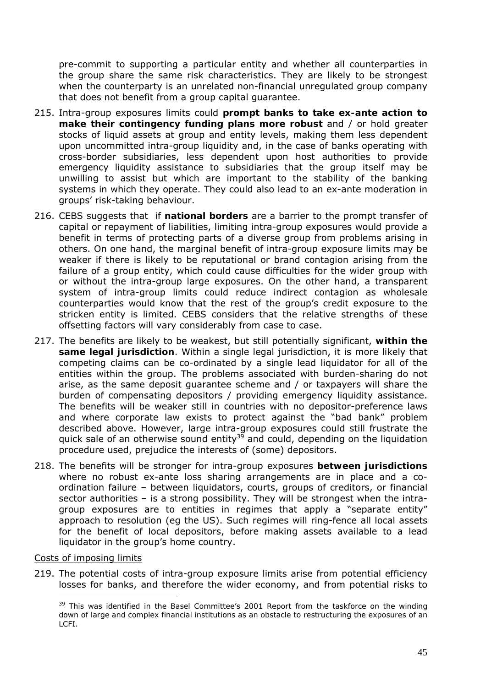pre-commit to supporting a particular entity and whether all counterparties in the group share the same risk characteristics. They are likely to be strongest when the counterparty is an unrelated non-financial unregulated group company that does not benefit from a group capital guarantee.

- 215. Intra-group exposures limits could **prompt banks to take ex-ante action to make their contingency funding plans more robust** and / or hold greater stocks of liquid assets at group and entity levels, making them less dependent upon uncommitted intra-group liquidity and, in the case of banks operating with cross-border subsidiaries, less dependent upon host authorities to provide emergency liquidity assistance to subsidiaries that the group itself may be unwilling to assist but which are important to the stability of the banking systems in which they operate. They could also lead to an ex-ante moderation in groups' risk-taking behaviour.
- 216. CEBS suggests that if **national borders** are a barrier to the prompt transfer of capital or repayment of liabilities, limiting intra-group exposures would provide a benefit in terms of protecting parts of a diverse group from problems arising in others. On one hand, the marginal benefit of intra-group exposure limits may be weaker if there is likely to be reputational or brand contagion arising from the failure of a group entity, which could cause difficulties for the wider group with or without the intra-group large exposures. On the other hand, a transparent system of intra-group limits could reduce indirect contagion as wholesale counterparties would know that the rest of the group's credit exposure to the stricken entity is limited. CEBS considers that the relative strengths of these offsetting factors will vary considerably from case to case.
- 217. The benefits are likely to be weakest, but still potentially significant, **within the same legal jurisdiction**. Within a single legal jurisdiction, it is more likely that competing claims can be co-ordinated by a single lead liquidator for all of the entities within the group. The problems associated with burden-sharing do not arise, as the same deposit guarantee scheme and / or taxpayers will share the burden of compensating depositors / providing emergency liquidity assistance. The benefits will be weaker still in countries with no depositor-preference laws and where corporate law exists to protect against the "bad bank" problem described above. However, large intra-group exposures could still frustrate the quick sale of an otherwise sound entity<sup>39</sup> and could, depending on the liquidation procedure used, prejudice the interests of (some) depositors.
- 218. The benefits will be stronger for intra-group exposures **between jurisdictions** where no robust ex-ante loss sharing arrangements are in place and a coordination failure – between liquidators, courts, groups of creditors, or financial sector authorities – is a strong possibility. They will be strongest when the intragroup exposures are to entities in regimes that apply a "separate entity" approach to resolution (eg the US). Such regimes will ring-fence all local assets for the benefit of local depositors, before making assets available to a lead liquidator in the group's home country.

#### Costs of imposing limits

 $\overline{a}$ 

219. The potential costs of intra-group exposure limits arise from potential efficiency losses for banks, and therefore the wider economy, and from potential risks to

<sup>39</sup> This was identified in the Basel Committee's 2001 *Report from the taskforce on the winding*  down of large and complex financial institutions as an obstacle to restructuring the exposures of an LCFI.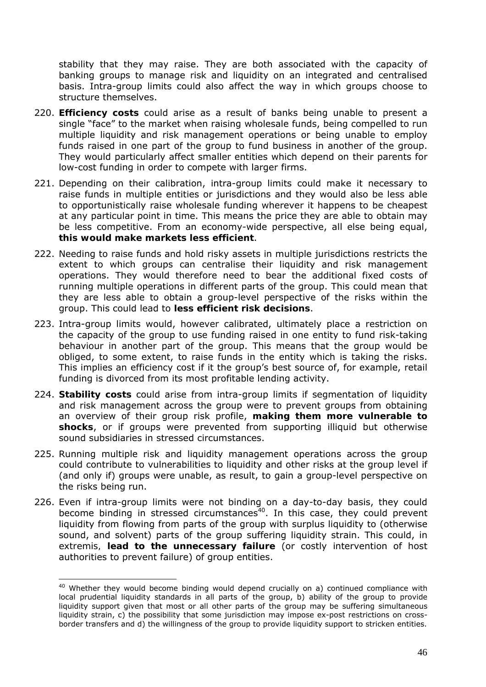stability that they may raise. They are both associated with the capacity of banking groups to manage risk and liquidity on an integrated and centralised basis. Intra-group limits could also affect the way in which groups choose to structure themselves.

- 220. **Efficiency costs** could arise as a result of banks being unable to present a single "face" to the market when raising wholesale funds, being compelled to run multiple liquidity and risk management operations or being unable to employ funds raised in one part of the group to fund business in another of the group. They would particularly affect smaller entities which depend on their parents for low-cost funding in order to compete with larger firms.
- 221. Depending on their calibration, intra-group limits could make it necessary to raise funds in multiple entities or jurisdictions and they would also be less able to opportunistically raise wholesale funding wherever it happens to be cheapest at any particular point in time. This means the price they are able to obtain may be less competitive. From an economy-wide perspective, all else being equal, **this would make markets less efficient**.
- 222. Needing to raise funds and hold risky assets in multiple jurisdictions restricts the extent to which groups can centralise their liquidity and risk management operations. They would therefore need to bear the additional fixed costs of running multiple operations in different parts of the group. This could mean that they are less able to obtain a group-level perspective of the risks within the group. This could lead to **less efficient risk decisions**.
- 223. Intra-group limits would, however calibrated, ultimately place a restriction on the capacity of the group to use funding raised in one entity to fund risk-taking behaviour in another part of the group. This means that the group would be obliged, to some extent, to raise funds in the entity which is taking the risks. This implies an efficiency cost if it the group's best source of, for example, retail funding is divorced from its most profitable lending activity.
- 224. **Stability costs** could arise from intra-group limits if segmentation of liquidity and risk management across the group were to prevent groups from obtaining an overview of their group risk profile, **making them more vulnerable to shocks**, or if groups were prevented from supporting illiquid but otherwise sound subsidiaries in stressed circumstances.
- 225. Running multiple risk and liquidity management operations across the group could contribute to vulnerabilities to liquidity and other risks at the group level if (and only if) groups were unable, as result, to gain a group-level perspective on the risks being run.
- 226. Even if intra-group limits were not binding on a day-to-day basis, they could become binding in stressed circumstances<sup>40</sup>. In this case, they could prevent liquidity from flowing from parts of the group with surplus liquidity to (otherwise sound, and solvent) parts of the group suffering liquidity strain. This could, *in extremis,* **lead to the unnecessary failure** (or costly intervention of host authorities to prevent failure) of group entities.

<sup>&</sup>lt;sup>40</sup> Whether they would become binding would depend crucially on a) continued compliance with local prudential liquidity standards in all parts of the group, b) ability of the group to provide liquidity support given that most or all other parts of the group may be suffering simultaneous liquidity strain, c) the possibility that some jurisdiction may impose ex-post restrictions on crossborder transfers and d) the willingness of the group to provide liquidity support to stricken entities.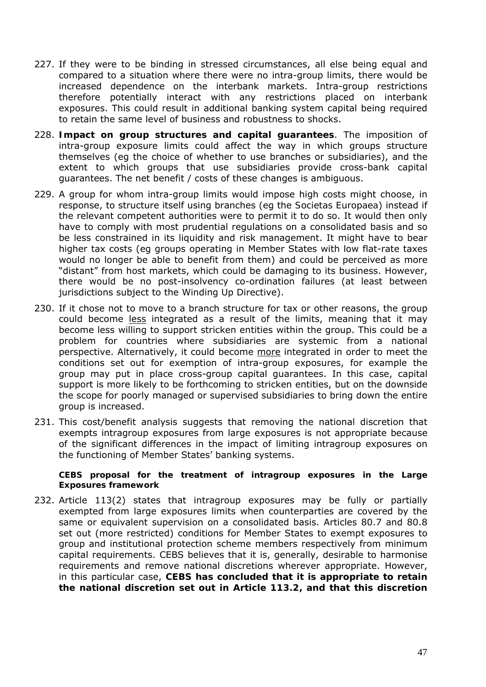- 227. If they were to be binding in stressed circumstances, all else being equal and compared to a situation where there were no intra-group limits, there would be increased dependence on the interbank markets. Intra-group restrictions therefore potentially interact with any restrictions placed on interbank exposures. This could result in additional banking system capital being required to retain the same level of business and robustness to shocks.
- 228. **Impact on group structures and capital guarantees**. The imposition of intra-group exposure limits could affect the way in which groups structure themselves (eg the choice of whether to use branches or subsidiaries), and the extent to which groups that use subsidiaries provide cross-bank capital guarantees. The net benefit / costs of these changes is ambiguous.
- 229. A group for whom intra-group limits would impose high costs might choose, in response, to structure itself using branches (eg the *Societas Europaea*) instead if the relevant competent authorities were to permit it to do so. It would then only have to comply with most prudential regulations on a consolidated basis and so be less constrained in its liquidity and risk management. It might have to bear higher tax costs (eg groups operating in Member States with low flat-rate taxes would no longer be able to benefit from them) and could be perceived as more "distant" from host markets, which could be damaging to its business. However, there would be no post-insolvency co-ordination failures (at least between jurisdictions subject to the Winding Up Directive).
- 230. If it chose not to move to a branch structure for tax or other reasons, the group could become less integrated as a result of the limits, meaning that it may become less willing to support stricken entities within the group. This could be a problem for countries where subsidiaries are systemic from a national perspective. Alternatively, it could become more integrated in order to meet the conditions set out for exemption of intra-group exposures, for example the group may put in place cross-group capital guarantees. In this case, capital support is more likely to be forthcoming to stricken entities, but on the downside the scope for poorly managed or supervised subsidiaries to bring down the entire group is increased.
- 231. This cost/benefit analysis suggests that removing the national discretion that exempts intragroup exposures from large exposures is not appropriate because of the significant differences in the impact of limiting intragroup exposures on the functioning of Member States' banking systems.

#### *CEBS proposal for the treatment of intragroup exposures in the Large Exposures framework*

232. Article 113(2) states that intragroup exposures may be fully or partially exempted from large exposures limits when counterparties are covered by the same or equivalent supervision on a consolidated basis. Articles 80.7 and 80.8 set out (more restricted) conditions for Member States to exempt exposures to group and institutional protection scheme members respectively from minimum capital requirements. CEBS believes that it is, generally, desirable to harmonise requirements and remove national discretions wherever appropriate. However, in this particular case, **CEBS has concluded that it is appropriate to retain the national discretion set out in Article 113.2, and that this discretion**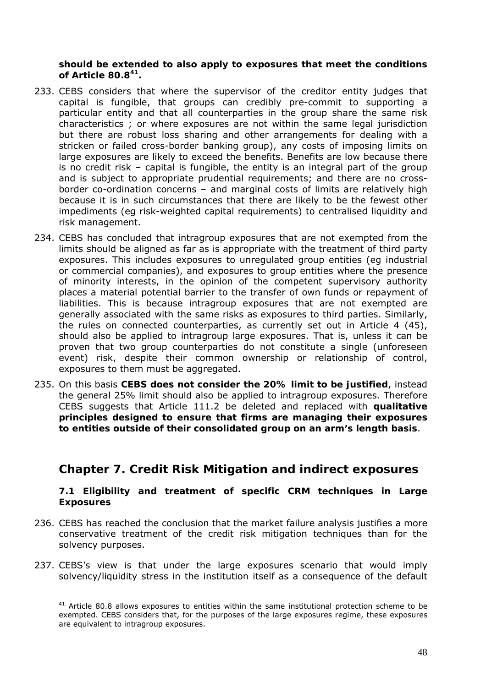**should be extended to also apply to exposures that meet the conditions of Article 80.841.**

- 233. CEBS considers that where the supervisor of the creditor entity judges that capital is fungible, that groups can credibly pre-commit to supporting a particular entity and that all counterparties in the group share the same risk characteristics ; or where exposures are not within the same legal jurisdiction but there are robust loss sharing and other arrangements for dealing with a stricken or failed cross-border banking group), any costs of imposing limits on large exposures are likely to exceed the benefits. Benefits are low because there is no credit risk – capital is fungible, the entity is an integral part of the group and is subject to appropriate prudential requirements; and there are no crossborder co-ordination concerns – and marginal costs of limits are relatively high because it is in such circumstances that there are likely to be the fewest other impediments (eg risk-weighted capital requirements) to centralised liquidity and risk management.
- 234. CEBS has concluded that intragroup exposures that are not exempted from the limits should be aligned as far as is appropriate with the treatment of third party exposures. This includes exposures to unregulated group entities (eg industrial or commercial companies), and exposures to group entities where the presence of minority interests, in the opinion of the competent supervisory authority places a material potential barrier to the transfer of own funds or repayment of liabilities. This is because intragroup exposures that are not exempted are generally associated with the same risks as exposures to third parties. Similarly, the rules on connected counterparties, as currently set out in Article 4 (45), should also be applied to intragroup large exposures. That is, unless it can be proven that two group counterparties do not constitute a single (unforeseen event) risk, despite their common ownership or relationship of control, exposures to them must be aggregated.
- 235. On this basis **CEBS does not consider the 20% limit to be justified**, instead the general 25% limit should also be applied to intragroup exposures. Τherefore CEBS suggests that Article 111.2 be deleted and replaced with **qualitative principles designed to ensure that firms are managing their exposures to entities outside of their consolidated group on an arm's length basis**.

# **Chapter 7. Credit Risk Mitigation and indirect exposures**

**7.1 Eligibility and treatment of specific CRM techniques in Large Exposures** 

- 236. CEBS has reached the conclusion that the market failure analysis justifies a more conservative treatment of the credit risk mitigation techniques than for the solvency purposes.
- 237. CEBS's view is that under the large exposures scenario that would imply solvency/liquidity stress in the institution itself as a consequence of the default

 $41$  Article 80.8 allows exposures to entities within the same institutional protection scheme to be exempted. CEBS considers that, for the purposes of the large exposures regime, these exposures are equivalent to intragroup exposures.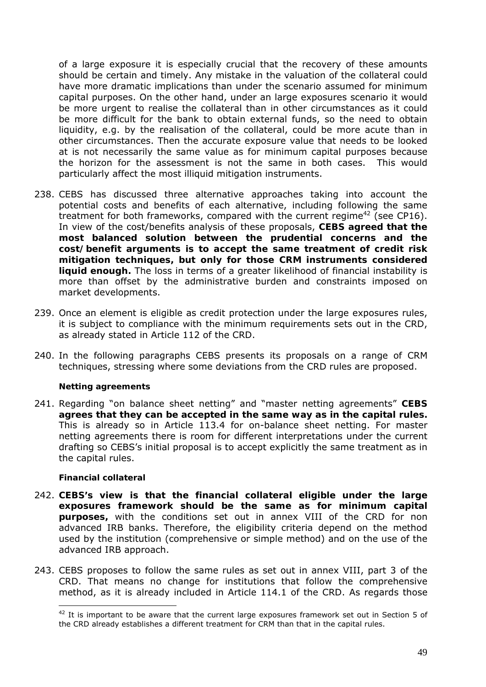of a large exposure it is especially crucial that the recovery of these amounts should be certain and timely. Any mistake in the valuation of the collateral could have more dramatic implications than under the scenario assumed for minimum capital purposes. On the other hand, under an large exposures scenario it would be more urgent to realise the collateral than in other circumstances as it could be more difficult for the bank to obtain external funds, so the need to obtain liquidity, e.g. by the realisation of the collateral, could be more acute than in other circumstances. Then the accurate exposure value that needs to be looked at is not necessarily the same value as for minimum capital purposes because the horizon for the assessment is not the same in both cases. This would particularly affect the most illiquid mitigation instruments.

- 238. CEBS has discussed three alternative approaches taking into account the potential costs and benefits of each alternative, including following the same treatment for both frameworks, compared with the current regime<sup>42</sup> (see CP16). In view of the cost/benefits analysis of these proposals, **CEBS agreed that the most balanced solution between the prudential concerns and the cost/benefit arguments is to accept the same treatment of credit risk mitigation techniques, but only for those CRM instruments considered liquid enough.** The loss in terms of a greater likelihood of financial instability is more than offset by the administrative burden and constraints imposed on market developments.
- 239. Once an element is eligible as credit protection under the large exposures rules, it is subject to compliance with the minimum requirements sets out in the CRD, as already stated in Article 112 of the CRD.
- 240. In the following paragraphs CEBS presents its proposals on a range of CRM techniques, stressing where some deviations from the CRD rules are proposed.

#### *Netting agreements*

241. Regarding "on balance sheet netting" and "master netting agreements" **CEBS agrees that they can be accepted in the same way as in the capital rules.** This is already so in Article 113.4 for on-balance sheet netting. For master netting agreements there is room for different interpretations under the current drafting so CEBS's initial proposal is to accept explicitly the same treatment as in the capital rules.

#### *Financial collateral*

- 242. **CEBS's view is that the financial collateral eligible under the large exposures framework should be the same as for minimum capital purposes,** with the conditions set out in annex VIII of the CRD for non advanced IRB banks. Therefore, the eligibility criteria depend on the method used by the institution (comprehensive or simple method) and on the use of the advanced IRB approach.
- 243. CEBS proposes to follow the same rules as set out in annex VIII, part 3 of the CRD. That means no change for institutions that follow the comprehensive method, as it is already included in Article 114.1 of the CRD. As regards those

<sup>&</sup>lt;sup>42</sup> It is important to be aware that the current large exposures framework set out in Section 5 of the CRD already establishes a different treatment for CRM than that in the capital rules.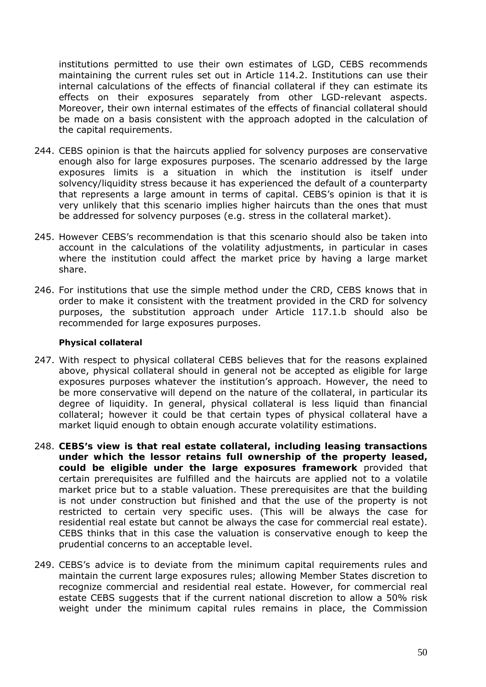institutions permitted to use their own estimates of LGD, CEBS recommends maintaining the current rules set out in Article 114.2. Institutions can use their internal calculations of the effects of financial collateral if they can estimate its effects on their exposures separately from other LGD-relevant aspects. Moreover, their own internal estimates of the effects of financial collateral should be made on a basis consistent with the approach adopted in the calculation of the capital requirements.

- 244. CEBS opinion is that the haircuts applied for solvency purposes are conservative enough also for large exposures purposes. The scenario addressed by the large exposures limits is a situation in which the institution is itself under solvency/liquidity stress because it has experienced the default of a counterparty that represents a large amount in terms of capital. CEBS's opinion is that it is very unlikely that this scenario implies higher haircuts than the ones that must be addressed for solvency purposes (e.g. stress in the collateral market).
- 245. However CEBS's recommendation is that this scenario should also be taken into account in the calculations of the volatility adjustments, in particular in cases where the institution could affect the market price by having a large market share.
- 246. For institutions that use the simple method under the CRD, CEBS knows that in order to make it consistent with the treatment provided in the CRD for solvency purposes, the substitution approach under Article 117.1.b should also be recommended for large exposures purposes.

#### *Physical collateral*

- 247. With respect to physical collateral CEBS believes that for the reasons explained above, physical collateral should in general not be accepted as eligible for large exposures purposes whatever the institution's approach. However, the need to be more conservative will depend on the nature of the collateral, in particular its degree of liquidity. In general, physical collateral is less liquid than financial collateral; however it could be that certain types of physical collateral have a market liquid enough to obtain enough accurate volatility estimations.
- 248. **CEBS's view is that real estate collateral, including leasing transactions under which the lessor retains full ownership of the property leased, could be eligible under the large exposures framework** provided that certain prerequisites are fulfilled and the haircuts are applied not to a volatile market price but to a stable valuation. These prerequisites are that the building is not under construction but finished and that the use of the property is not restricted to certain very specific uses. (This will be always the case for residential real estate but cannot be always the case for commercial real estate). CEBS thinks that in this case the valuation is conservative enough to keep the prudential concerns to an acceptable level.
- 249. CEBS's advice is to deviate from the minimum capital requirements rules and maintain the current large exposures rules; allowing Member States discretion to recognize commercial and residential real estate. However, for commercial real estate CEBS suggests that if the current national discretion to allow a 50% risk weight under the minimum capital rules remains in place, the Commission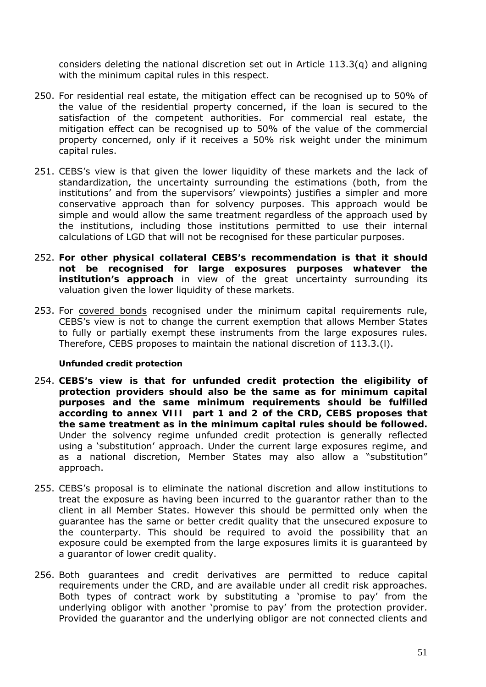considers deleting the national discretion set out in Article 113.3(q) and aligning with the minimum capital rules in this respect.

- 250. For residential real estate, the mitigation effect can be recognised up to 50% of the value of the residential property concerned, if the loan is secured to the satisfaction of the competent authorities. For commercial real estate, the mitigation effect can be recognised up to 50% of the value of the commercial property concerned, only if it receives a 50% risk weight under the minimum capital rules.
- 251. CEBS's view is that given the lower liquidity of these markets and the lack of standardization, the uncertainty surrounding the estimations (both, from the institutions' and from the supervisors' viewpoints) justifies a simpler and more conservative approach than for solvency purposes. This approach would be simple and would allow the same treatment regardless of the approach used by the institutions, including those institutions permitted to use their internal calculations of LGD that will not be recognised for these particular purposes.
- 252. **For other physical collateral CEBS's recommendation is that it should not be recognised for large exposures purposes whatever the institution's approach** in view of the great uncertainty surrounding its valuation given the lower liquidity of these markets.
- 253. For covered bonds recognised under the minimum capital requirements rule, CEBS's view is not to change the current exemption that allows Member States to fully or partially exempt these instruments from the large exposures rules. Therefore, CEBS proposes to maintain the national discretion of 113.3.(l).

#### *Unfunded credit protection*

- 254. **CEBS's view is that for unfunded credit protection the eligibility of protection providers should also be the same as for minimum capital purposes and the same minimum requirements should be fulfilled according to annex VIII part 1 and 2 of the CRD, CEBS proposes that the same treatment as in the minimum capital rules should be followed.** Under the solvency regime unfunded credit protection is generally reflected using a 'substitution' approach. Under the current large exposures regime, and as a national discretion, Member States may also allow a "substitution" approach.
- 255. CEBS's proposal is to eliminate the national discretion and allow institutions to treat the exposure as having been incurred to the guarantor rather than to the client in all Member States. However this should be permitted only when the guarantee has the same or better credit quality that the unsecured exposure to the counterparty. This should be required to avoid the possibility that an exposure could be exempted from the large exposures limits it is guaranteed by a guarantor of lower credit quality.
- 256. Both guarantees and credit derivatives are permitted to reduce capital requirements under the CRD, and are available under all credit risk approaches. Both types of contract work by substituting a 'promise to pay' from the underlying obligor with another 'promise to pay' from the protection provider. Provided the guarantor and the underlying obligor are not connected clients and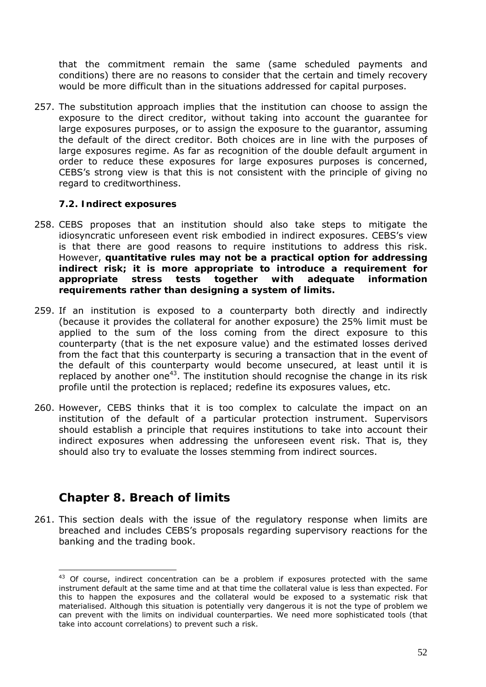that the commitment remain the same (same scheduled payments and conditions) there are no reasons to consider that the certain and timely recovery would be more difficult than in the situations addressed for capital purposes.

257. The substitution approach implies that the institution can choose to assign the exposure to the direct creditor, without taking into account the guarantee for large exposures purposes, or to assign the exposure to the guarantor, assuming the default of the direct creditor. Both choices are in line with the purposes of large exposures regime. As far as recognition of the double default argument in order to reduce these exposures for large exposures purposes is concerned, CEBS's strong view is that this is not consistent with the principle of giving no regard to creditworthiness.

### **7.2. Indirect exposures**

- 258. CEBS proposes that an institution should also take steps to mitigate the idiosyncratic unforeseen event risk embodied in indirect exposures. CEBS's view is that there are good reasons to require institutions to address this risk. However, **quantitative rules may not be a practical option for addressing indirect risk; it is more appropriate to introduce a requirement for appropriate stress tests together with adequate information requirements rather than designing a system of limits.**
- 259. If an institution is exposed to a counterparty both directly and indirectly (because it provides the collateral for another exposure) the 25% limit must be applied to the sum of the loss coming from the direct exposure to this counterparty (that is the net exposure value) and the estimated losses derived from the fact that this counterparty is securing a transaction that in the event of the default of this counterparty would become unsecured, at least until it is replaced by another one<sup>43</sup>. The institution should recognise the change in its risk profile until the protection is replaced; redefine its exposures values, etc.
- 260. However, CEBS thinks that it is too complex to calculate the impact on an institution of the default of a particular protection instrument. Supervisors should establish a principle that requires institutions to take into account their indirect exposures when addressing the unforeseen event risk. That is, they should also try to evaluate the losses stemming from indirect sources.

# **Chapter 8. Breach of limits**

261. This section deals with the issue of the regulatory response when limits are breached and includes CEBS's proposals regarding supervisory reactions for the banking and the trading book.

 $\overline{a}$  $43$  Of course, indirect concentration can be a problem if exposures protected with the same instrument default at the same time and at that time the collateral value is less than expected. For this to happen the exposures and the collateral would be exposed to a systematic risk that materialised. Although this situation is potentially very dangerous it is not the type of problem we can prevent with the limits on individual counterparties. We need more sophisticated tools (that take into account correlations) to prevent such a risk.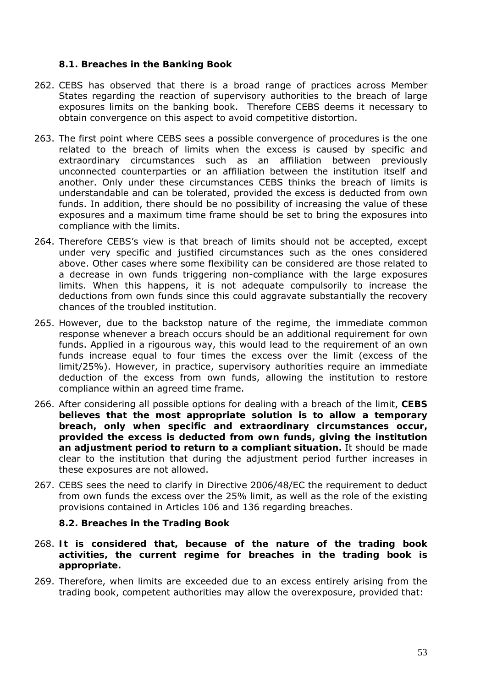#### **8.1. Breaches in the Banking Book**

- 262. CEBS has observed that there is a broad range of practices across Member States regarding the reaction of supervisory authorities to the breach of large exposures limits on the banking book. Therefore CEBS deems it necessary to obtain convergence on this aspect to avoid competitive distortion.
- 263. The first point where CEBS sees a possible convergence of procedures is the one related to the breach of limits when the excess is caused by specific and extraordinary circumstances such as an affiliation between previously unconnected counterparties or an affiliation between the institution itself and another. Only under these circumstances CEBS thinks the breach of limits is understandable and can be tolerated, provided the excess is deducted from own funds. In addition, there should be no possibility of increasing the value of these exposures and a maximum time frame should be set to bring the exposures into compliance with the limits.
- 264. Therefore CEBS's view is that breach of limits should not be accepted, except under very specific and justified circumstances such as the ones considered above. Other cases where some flexibility can be considered are those related to a decrease in own funds triggering non-compliance with the large exposures limits. When this happens, it is not adequate compulsorily to increase the deductions from own funds since this could aggravate substantially the recovery chances of the troubled institution.
- 265. However, due to the backstop nature of the regime, the immediate common response whenever a breach occurs should be an additional requirement for own funds. Applied in a rigourous way, this would lead to the requirement of an own funds increase equal to four times the excess over the limit (excess of the limit/25%). However, in practice, supervisory authorities require an immediate deduction of the excess from own funds, allowing the institution to restore compliance within an agreed time frame.
- 266. After considering all possible options for dealing with a breach of the limit, **CEBS believes that the most appropriate solution is to allow a temporary breach, only when specific and extraordinary circumstances occur, provided the excess is deducted from own funds, giving the institution an adjustment period to return to a compliant situation.** It should be made clear to the institution that during the adjustment period further increases in these exposures are not allowed.
- 267. CEBS sees the need to clarify in Directive 2006/48/EC the requirement to deduct from own funds the excess over the 25% limit, as well as the role of the existing provisions contained in Articles 106 and 136 regarding breaches.

#### **8.2. Breaches in the Trading Book**

- 268. **It is considered that, because of the nature of the trading book activities, the current regime for breaches in the trading book is appropriate.**
- 269. Therefore, when limits are exceeded due to an excess entirely arising from the trading book, competent authorities may allow the overexposure, provided that: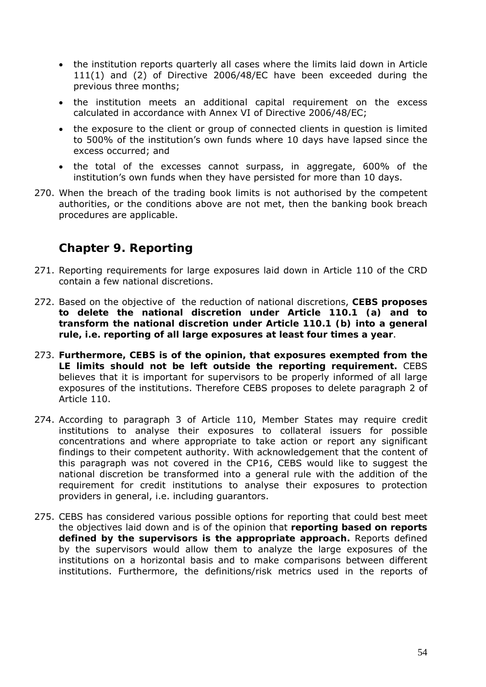- the institution reports quarterly all cases where the limits laid down in Article 111(1) and (2) of Directive 2006/48/EC have been exceeded during the previous three months;
- the institution meets an additional capital requirement on the excess calculated in accordance with Annex VI of Directive 2006/48/EC;
- the exposure to the client or group of connected clients in question is limited to 500% of the institution's own funds where 10 days have lapsed since the excess occurred; and
- the total of the excesses cannot surpass, in aggregate, 600% of the institution's own funds when they have persisted for more than 10 days.
- 270. When the breach of the trading book limits is not authorised by the competent authorities, or the conditions above are not met, then the banking book breach procedures are applicable.

# **Chapter 9. Reporting**

- 271. Reporting requirements for large exposures laid down in Article 110 of the CRD contain a few national discretions.
- 272. Based on the objective of the reduction of national discretions, **CEBS proposes to delete the national discretion under Article 110.1 (a) and to transform the national discretion under Article 110.1 (b) into a general rule, i.e. reporting of all large exposures at least four times a year**.
- 273. **Furthermore, CEBS is of the opinion, that exposures exempted from the LE limits should not be left outside the reporting requirement.** CEBS believes that it is important for supervisors to be properly informed of all large exposures of the institutions. Therefore CEBS proposes to delete paragraph 2 of Article 110.
- 274. According to paragraph 3 of Article 110, Member States may require credit institutions to analyse their exposures to collateral issuers for possible concentrations and where appropriate to take action or report any significant findings to their competent authority. With acknowledgement that the content of this paragraph was not covered in the CP16, CEBS would like to suggest the national discretion be transformed into a general rule with the addition of the requirement for credit institutions to analyse their exposures to protection providers in general, i.e. including guarantors.
- 275. CEBS has considered various possible options for reporting that could best meet the objectives laid down and is of the opinion that **reporting based on reports defined by the supervisors is the appropriate approach.** Reports defined by the supervisors would allow them to analyze the large exposures of the institutions on a horizontal basis and to make comparisons between different institutions. Furthermore, the definitions/risk metrics used in the reports of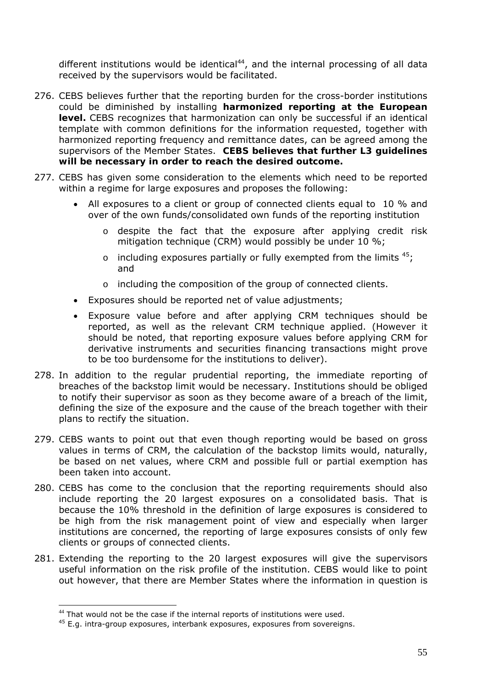different institutions would be identical $44$ , and the internal processing of all data received by the supervisors would be facilitated.

- 276. CEBS believes further that the reporting burden for the cross-border institutions could be diminished by installing **harmonized reporting at the European level.** CEBS recognizes that harmonization can only be successful if an identical template with common definitions for the information requested, together with harmonized reporting frequency and remittance dates, can be agreed among the supervisors of the Member States. **CEBS believes that further L3 guidelines will be necessary in order to reach the desired outcome.**
- 277. CEBS has given some consideration to the elements which need to be reported within a regime for large exposures and proposes the following:
	- All exposures to a client or group of connected clients equal to 10 % and over of the own funds/consolidated own funds of the reporting institution
		- o despite the fact that the exposure after applying credit risk mitigation technique (CRM) would possibly be under 10 %;
		- $\circ$  including exposures partially or fully exempted from the limits  $45$ ; and
		- o including the composition of the group of connected clients.
	- Exposures should be reported net of value adjustments;
	- Exposure value before and after applying CRM techniques should be reported, as well as the relevant CRM technique applied. (However it should be noted, that reporting exposure values before applying CRM for derivative instruments and securities financing transactions might prove to be too burdensome for the institutions to deliver).
- 278. In addition to the regular prudential reporting, the immediate reporting of breaches of the backstop limit would be necessary. Institutions should be obliged to notify their supervisor as soon as they become aware of a breach of the limit, defining the size of the exposure and the cause of the breach together with their plans to rectify the situation.
- 279. CEBS wants to point out that even though reporting would be based on gross values in terms of CRM, the calculation of the backstop limits would, naturally, be based on net values, where CRM and possible full or partial exemption has been taken into account.
- 280. CEBS has come to the conclusion that the reporting requirements should also include reporting the 20 largest exposures on a consolidated basis. That is because the 10% threshold in the definition of large exposures is considered to be high from the risk management point of view and especially when larger institutions are concerned, the reporting of large exposures consists of only few clients or groups of connected clients.
- 281. Extending the reporting to the 20 largest exposures will give the supervisors useful information on the risk profile of the institution. CEBS would like to point out however, that there are Member States where the information in question is

 $\overline{a}$  $44$  That would not be the case if the internal reports of institutions were used.

<sup>45</sup> E.g. intra-group exposures, interbank exposures, exposures from sovereigns.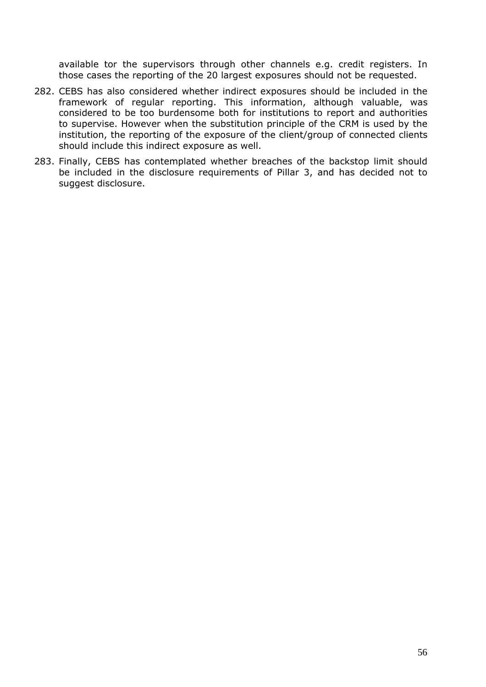available tor the supervisors through other channels e.g. credit registers. In those cases the reporting of the 20 largest exposures should not be requested.

- 282. CEBS has also considered whether indirect exposures should be included in the framework of regular reporting. This information, although valuable, was considered to be too burdensome both for institutions to report and authorities to supervise. However when the substitution principle of the CRM is used by the institution, the reporting of the exposure of the client/group of connected clients should include this indirect exposure as well.
- 283. Finally, CEBS has contemplated whether breaches of the backstop limit should be included in the disclosure requirements of Pillar 3, and has decided not to suggest disclosure.